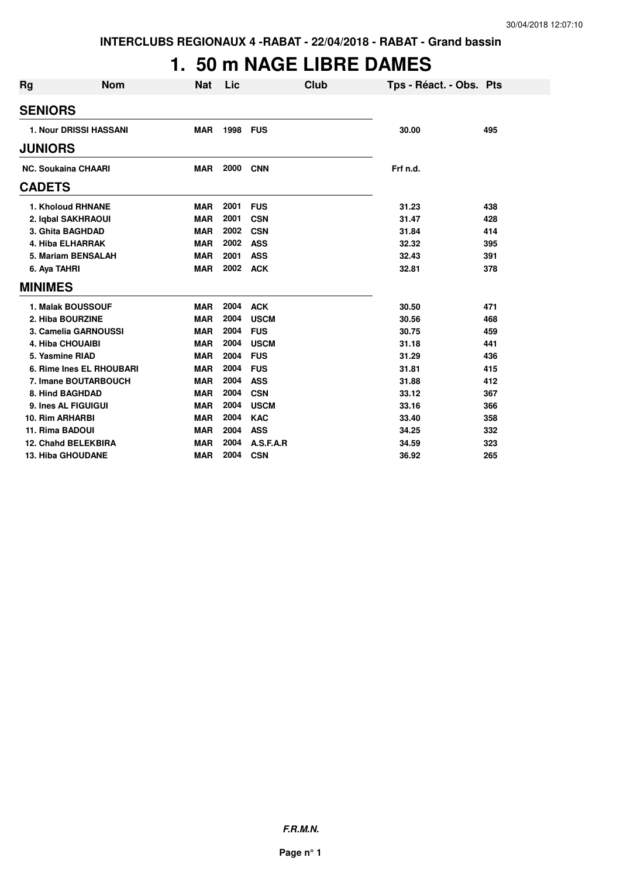## **1. 50 m NAGE LIBRE DAMES**

| <b>Rg</b>      | <b>Nom</b>                    | <b>Nat</b> | Lic  | Club        | Tps - Réact. - Obs. Pts |     |
|----------------|-------------------------------|------------|------|-------------|-------------------------|-----|
| <b>SENIORS</b> |                               |            |      |             |                         |     |
|                | <b>1. Nour DRISSI HASSANI</b> | <b>MAR</b> | 1998 | <b>FUS</b>  | 30.00                   | 495 |
| <b>JUNIORS</b> |                               |            |      |             |                         |     |
|                | <b>NC. Soukaina CHAARI</b>    | <b>MAR</b> | 2000 | <b>CNN</b>  | Frf n.d.                |     |
| <b>CADETS</b>  |                               |            |      |             |                         |     |
|                | <b>1. Kholoud RHNANE</b>      | <b>MAR</b> | 2001 | <b>FUS</b>  | 31.23                   | 438 |
|                | 2. Igbal SAKHRAOUI            | <b>MAR</b> | 2001 | <b>CSN</b>  | 31.47                   | 428 |
|                | 3. Ghita BAGHDAD              | <b>MAR</b> | 2002 | <b>CSN</b>  | 31.84                   | 414 |
|                | <b>4. Hiba ELHARRAK</b>       | <b>MAR</b> | 2002 | <b>ASS</b>  | 32.32                   | 395 |
|                | 5. Mariam BENSALAH            | <b>MAR</b> | 2001 | <b>ASS</b>  | 32.43                   | 391 |
|                | 6. Aya TAHRI                  | <b>MAR</b> | 2002 | <b>ACK</b>  | 32.81                   | 378 |
| <b>MINIMES</b> |                               |            |      |             |                         |     |
|                | <b>1. Malak BOUSSOUF</b>      | <b>MAR</b> | 2004 | <b>ACK</b>  | 30.50                   | 471 |
|                | 2. Hiba BOURZINE              | <b>MAR</b> | 2004 | <b>USCM</b> | 30.56                   | 468 |
|                | 3. Camelia GARNOUSSI          | <b>MAR</b> | 2004 | <b>FUS</b>  | 30.75                   | 459 |
|                | <b>4. Hiba CHOUAIBI</b>       | <b>MAR</b> | 2004 | <b>USCM</b> | 31.18                   | 441 |
|                | 5. Yasmine RIAD               | <b>MAR</b> | 2004 | <b>FUS</b>  | 31.29                   | 436 |
|                | 6. Rime Ines EL RHOUBARI      | <b>MAR</b> | 2004 | <b>FUS</b>  | 31.81                   | 415 |
|                | 7. Imane BOUTARBOUCH          | <b>MAR</b> | 2004 | <b>ASS</b>  | 31.88                   | 412 |
|                | 8. Hind BAGHDAD               | <b>MAR</b> | 2004 | <b>CSN</b>  | 33.12                   | 367 |
|                | 9. Ines AL FIGUIGUI           | <b>MAR</b> | 2004 | <b>USCM</b> | 33.16                   | 366 |
|                | 10. Rim ARHARBI               | <b>MAR</b> | 2004 | <b>KAC</b>  | 33.40                   | 358 |
|                | 11. Rima BADOUI               | <b>MAR</b> | 2004 | <b>ASS</b>  | 34.25                   | 332 |
|                | 12. Chahd BELEKBIRA           | <b>MAR</b> | 2004 | A.S.F.A.R   | 34.59                   | 323 |
|                | <b>13. Hiba GHOUDANE</b>      | <b>MAR</b> | 2004 | <b>CSN</b>  | 36.92                   | 265 |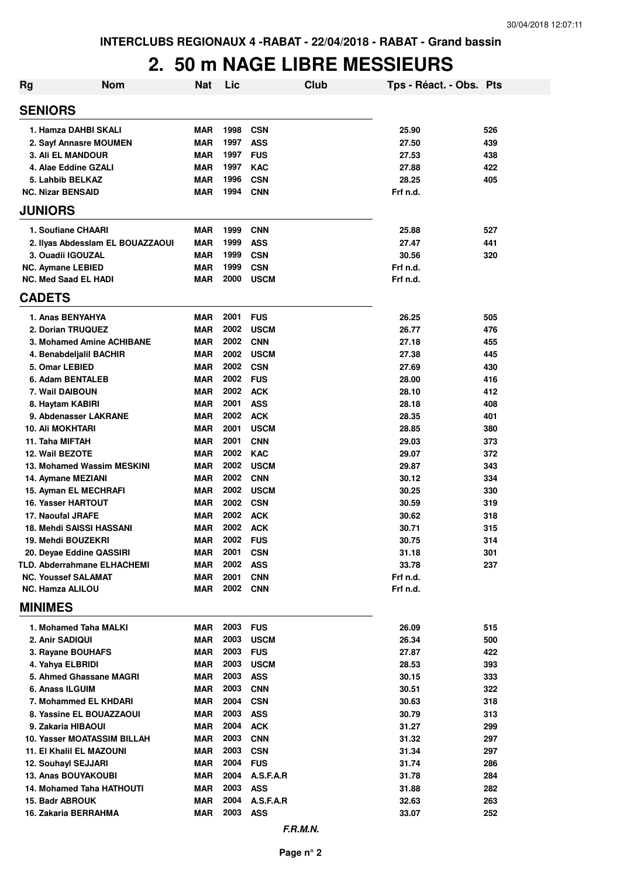## **2. 50 m NAGE LIBRE MESSIEURS**

| Rg | <b>Nom</b>                                | <b>Nat</b> | Lic      | <b>Club</b> | Tps - Réact. - Obs. Pts |     |
|----|-------------------------------------------|------------|----------|-------------|-------------------------|-----|
|    | <b>SENIORS</b>                            |            |          |             |                         |     |
|    | 1. Hamza DAHBI SKALI                      | <b>MAR</b> | 1998     | <b>CSN</b>  | 25.90                   | 526 |
|    | 2. Sayf Annasre MOUMEN                    | MAR        | 1997     | <b>ASS</b>  | 27.50                   | 439 |
|    | <b>3. Ali EL MANDOUR</b>                  | <b>MAR</b> | 1997     | <b>FUS</b>  | 27.53                   | 438 |
|    | 4. Alae Eddine GZALI                      | <b>MAR</b> | 1997     | <b>KAC</b>  | 27.88                   | 422 |
|    | 5. Lahbib BELKAZ                          | <b>MAR</b> | 1996     | <b>CSN</b>  | 28.25                   | 405 |
|    | <b>NC. Nizar BENSAID</b>                  | <b>MAR</b> | 1994     | <b>CNN</b>  | Frf n.d.                |     |
|    | <b>JUNIORS</b>                            |            |          |             |                         |     |
|    | 1. Soufiane CHAARI                        | <b>MAR</b> | 1999     | <b>CNN</b>  | 25.88                   | 527 |
|    | 2. Ilyas Abdesslam EL BOUAZZAOUI          | MAR        | 1999     | <b>ASS</b>  | 27.47                   | 441 |
|    | 3. Ouadii IGOUZAL                         | <b>MAR</b> | 1999     | <b>CSN</b>  | 30.56                   | 320 |
|    | <b>NC. Aymane LEBIED</b>                  | <b>MAR</b> | 1999     | <b>CSN</b>  | Frf n.d.                |     |
|    | <b>NC. Med Saad EL HADI</b>               | <b>MAR</b> | 2000     | <b>USCM</b> | Frf n.d.                |     |
|    | <b>CADETS</b>                             |            |          |             |                         |     |
|    | 1. Anas BENYAHYA                          | <b>MAR</b> | 2001     | <b>FUS</b>  | 26.25                   | 505 |
|    | 2. Dorian TRUQUEZ                         | <b>MAR</b> | 2002     | <b>USCM</b> | 26.77                   | 476 |
|    | 3. Mohamed Amine ACHIBANE                 | <b>MAR</b> | 2002     | <b>CNN</b>  | 27.18                   | 455 |
|    | 4. Benabdeljalil BACHIR                   | <b>MAR</b> | 2002     | <b>USCM</b> | 27.38                   | 445 |
|    | 5. Omar LEBIED                            | <b>MAR</b> | 2002     | <b>CSN</b>  | 27.69                   | 430 |
|    | 6. Adam BENTALEB                          | <b>MAR</b> | 2002     | <b>FUS</b>  | 28.00                   | 416 |
|    | 7. Wail DAIBOUN                           | <b>MAR</b> | 2002     | <b>ACK</b>  | 28.10                   | 412 |
|    | 8. Haytam KABIRI                          | <b>MAR</b> | 2001     | <b>ASS</b>  | 28.18                   | 408 |
|    | 9. Abdenasser LAKRANE                     | <b>MAR</b> | 2002     | <b>ACK</b>  | 28.35                   | 401 |
|    | <b>10. Ali MOKHTARI</b>                   | <b>MAR</b> | 2001     | <b>USCM</b> | 28.85                   | 380 |
|    | 11. Taha MIFTAH                           | <b>MAR</b> | 2001     | <b>CNN</b>  | 29.03                   | 373 |
|    | 12. Wail BEZOTE                           | <b>MAR</b> | 2002     | <b>KAC</b>  | 29.07                   | 372 |
|    | 13. Mohamed Wassim MESKINI                | <b>MAR</b> | 2002     | <b>USCM</b> | 29.87                   | 343 |
|    | 14. Aymane MEZIANI                        | <b>MAR</b> | 2002     | <b>CNN</b>  | 30.12                   | 334 |
|    | 15. Ayman EL MECHRAFI                     | <b>MAR</b> | 2002     | <b>USCM</b> | 30.25                   | 330 |
|    | <b>16. Yasser HARTOUT</b>                 | <b>MAR</b> | 2002 CSN |             | 30.59                   | 319 |
|    | 17. Naoufal JRAFE                         | <b>MAR</b> | 2002     | <b>ACK</b>  | 30.62                   | 318 |
|    | <b>18. Mehdi SAISSI HASSANI</b>           | <b>MAR</b> | 2002     | <b>ACK</b>  | 30.71                   | 315 |
|    | 19. Mehdi BOUZEKRI                        | MAR        | 2002     | <b>FUS</b>  | 30.75                   | 314 |
|    | 20. Deyae Eddine QASSIRI                  | MAR        | 2001     | <b>CSN</b>  | 31.18                   | 301 |
|    | <b>TLD. Abderrahmane ELHACHEMI</b>        | MAR        | 2002     | <b>ASS</b>  | 33.78                   | 237 |
|    | <b>NC. Youssef SALAMAT</b>                | <b>MAR</b> | 2001     | <b>CNN</b>  | Frf n.d.                |     |
|    | <b>NC. Hamza ALILOU</b><br><b>MINIMES</b> | MAR        | 2002     | <b>CNN</b>  | Frf n.d.                |     |
|    |                                           |            |          |             |                         |     |
|    | 1. Mohamed Taha MALKI                     | MAR        | 2003     | <b>FUS</b>  | 26.09                   | 515 |
|    | 2. Anir SADIQUI                           | <b>MAR</b> | 2003     | <b>USCM</b> | 26.34                   | 500 |
|    | 3. Rayane BOUHAFS                         | <b>MAR</b> | 2003     | <b>FUS</b>  | 27.87                   | 422 |
|    | 4. Yahya ELBRIDI                          | <b>MAR</b> | 2003     | <b>USCM</b> | 28.53                   | 393 |
|    | 5. Ahmed Ghassane MAGRI                   | MAR        | 2003     | <b>ASS</b>  | 30.15                   | 333 |
|    | 6. Anass ILGUIM                           | MAR        | 2003     | <b>CNN</b>  | 30.51                   | 322 |
|    | 7. Mohammed EL KHDARI                     | MAR        | 2004     | <b>CSN</b>  | 30.63                   | 318 |
|    | 8. Yassine EL BOUAZZAOUI                  | <b>MAR</b> | 2003     | <b>ASS</b>  | 30.79                   | 313 |
|    | 9. Zakaria HIBAOUI                        | <b>MAR</b> | 2004     | <b>ACK</b>  | 31.27                   | 299 |
|    | 10. Yasser MOATASSIM BILLAH               | <b>MAR</b> | 2003     | <b>CNN</b>  | 31.32                   | 297 |
|    | <b>11. El Khalil EL MAZOUNI</b>           | <b>MAR</b> | 2003     | <b>CSN</b>  | 31.34                   | 297 |
|    | 12. Souhayl SEJJARI                       | <b>MAR</b> | 2004     | <b>FUS</b>  | 31.74                   | 286 |
|    | 13. Anas BOUYAKOUBI                       | <b>MAR</b> | 2004     | A.S.F.A.R   | 31.78                   | 284 |
|    | 14. Mohamed Taha HATHOUTI                 | MAR        | 2003     | <b>ASS</b>  | 31.88                   | 282 |
|    | 15. Badr ABROUK                           | <b>MAR</b> | 2004     | A.S.F.A.R   | 32.63                   | 263 |
|    | 16. Zakaria BERRAHMA                      | MAR        | 2003     | <b>ASS</b>  | 33.07                   | 252 |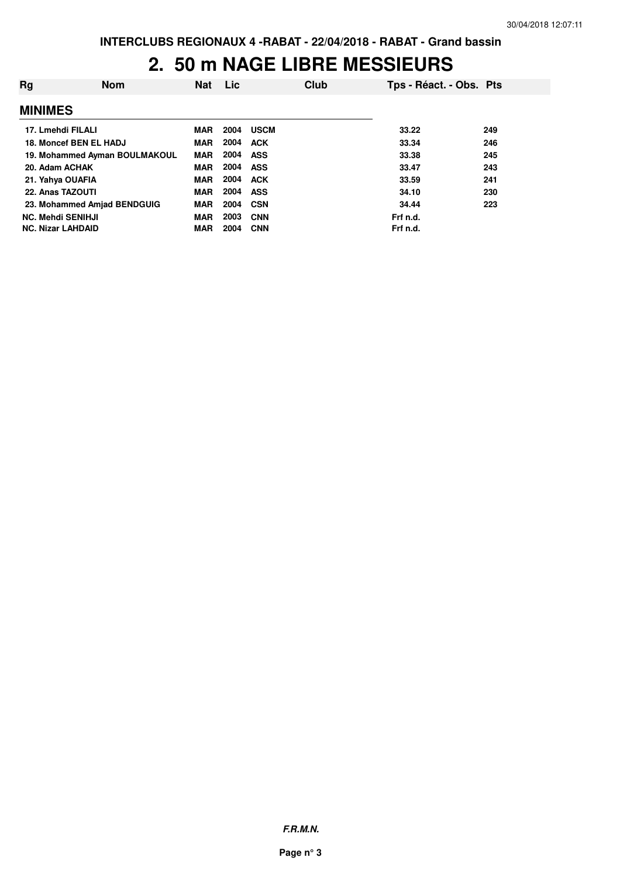## **2. 50 m NAGE LIBRE MESSIEURS**

| Rg                       | <b>Nom</b>                    | <b>Nat</b> | Lic  |             | Club | Tps - Réact. - Obs. Pts |     |
|--------------------------|-------------------------------|------------|------|-------------|------|-------------------------|-----|
| <b>MINIMES</b>           |                               |            |      |             |      |                         |     |
| 17. Lmehdi FILALI        |                               | <b>MAR</b> | 2004 | <b>USCM</b> |      | 33.22                   | 249 |
|                          | 18. Moncef BEN EL HADJ        | <b>MAR</b> | 2004 | <b>ACK</b>  |      | 33.34                   | 246 |
|                          | 19. Mohammed Ayman BOULMAKOUL | <b>MAR</b> | 2004 | <b>ASS</b>  |      | 33.38                   | 245 |
| 20. Adam ACHAK           |                               | <b>MAR</b> | 2004 | ASS         |      | 33.47                   | 243 |
| 21. Yahya OUAFIA         |                               | <b>MAR</b> | 2004 | <b>ACK</b>  |      | 33.59                   | 241 |
| 22. Anas TAZOUTI         |                               | <b>MAR</b> | 2004 | <b>ASS</b>  |      | 34.10                   | 230 |
|                          | 23. Mohammed Amjad BENDGUIG   | <b>MAR</b> | 2004 | CSN         |      | 34.44                   | 223 |
| <b>NC. Mehdi SENIHJI</b> |                               | <b>MAR</b> | 2003 | <b>CNN</b>  |      | Frf n.d.                |     |
| <b>NC. Nizar LAHDAID</b> |                               | <b>MAR</b> | 2004 | <b>CNN</b>  |      | Frf n.d.                |     |

**F.R.M.N.**

**Page n° 3**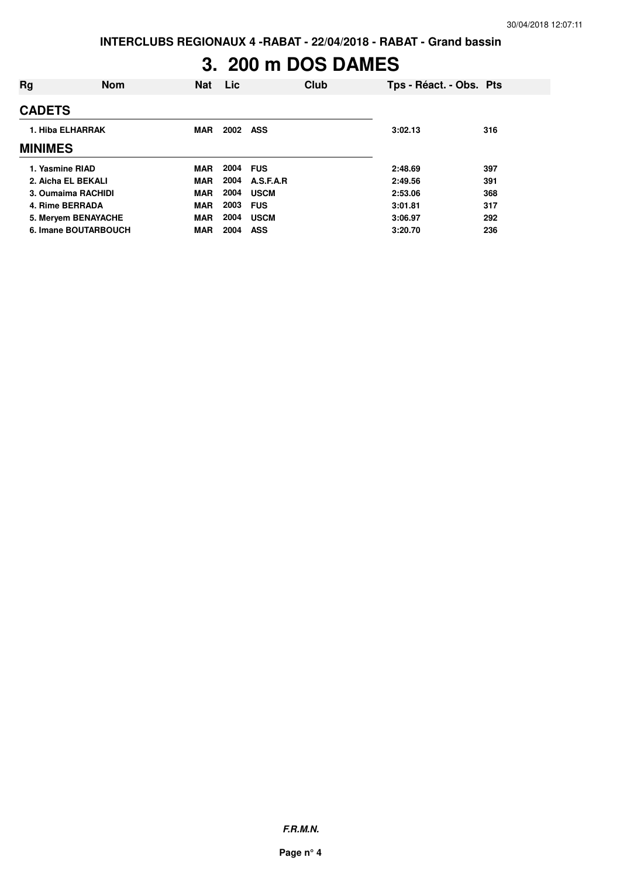**INTERCLUBS REGIONAUX 4 -RABAT - 22/04/2018 - RABAT - Grand bassin**

## **3. 200 m DOS DAMES**

| Rg                   | <b>Nom</b> | <b>Nat</b> | Lic      |             | Club | Tps - Réact. - Obs. Pts |     |
|----------------------|------------|------------|----------|-------------|------|-------------------------|-----|
| <b>CADETS</b>        |            |            |          |             |      |                         |     |
| 1. Hiba ELHARRAK     |            | <b>MAR</b> | 2002 ASS |             |      | 3:02.13                 | 316 |
| <b>MINIMES</b>       |            |            |          |             |      |                         |     |
| 1. Yasmine RIAD      |            | <b>MAR</b> | 2004     | <b>FUS</b>  |      | 2:48.69                 | 397 |
| 2. Aicha EL BEKALI   |            | <b>MAR</b> | 2004     | A.S.F.A.R   |      | 2:49.56                 | 391 |
| 3. Oumaima RACHIDI   |            | <b>MAR</b> | 2004     | <b>USCM</b> |      | 2:53.06                 | 368 |
| 4. Rime BERRADA      |            | <b>MAR</b> | 2003     | <b>FUS</b>  |      | 3:01.81                 | 317 |
| 5. Meryem BENAYACHE  |            | <b>MAR</b> | 2004     | <b>USCM</b> |      | 3:06.97                 | 292 |
| 6. Imane BOUTARBOUCH |            | <b>MAR</b> | 2004     | <b>ASS</b>  |      | 3:20.70                 | 236 |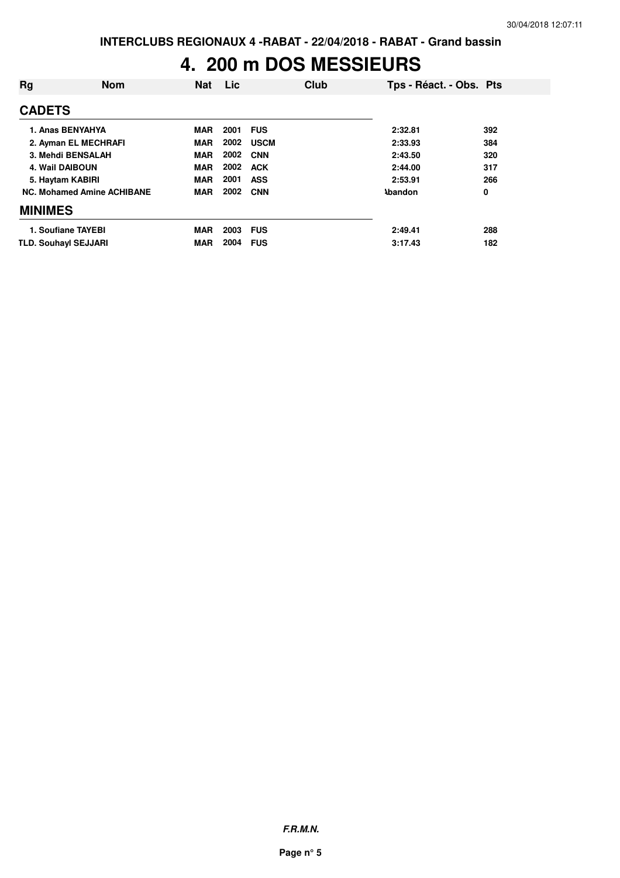### **4. 200 m DOS MESSIEURS**

| Rg                          | <b>Nom</b>                        | <b>Nat</b> | Lic      | Club        | Tps - Réact. - Obs. Pts |     |
|-----------------------------|-----------------------------------|------------|----------|-------------|-------------------------|-----|
| <b>CADETS</b>               |                                   |            |          |             |                         |     |
|                             | 1. Anas BENYAHYA                  | <b>MAR</b> | 2001     | <b>FUS</b>  | 2:32.81                 | 392 |
|                             | 2. Ayman EL MECHRAFI              | <b>MAR</b> | 2002     | <b>USCM</b> | 2:33.93                 | 384 |
|                             | 3. Mehdi BENSALAH                 | <b>MAR</b> | 2002     | <b>CNN</b>  | 2:43.50                 | 320 |
| <b>4. Wail DAIBOUN</b>      |                                   | <b>MAR</b> | 2002     | <b>ACK</b>  | 2:44.00                 | 317 |
| 5. Haytam KABIRI            |                                   | <b>MAR</b> | 2001     | <b>ASS</b>  | 2:53.91                 | 266 |
|                             | <b>NC. Mohamed Amine ACHIBANE</b> | MAR        | 2002     | <b>CNN</b>  | <b>Abandon</b>          | 0   |
| <b>MINIMES</b>              |                                   |            |          |             |                         |     |
|                             | 1. Soufiane TAYEBI                | <b>MAR</b> | 2003 FUS |             | 2:49.41                 | 288 |
| <b>TLD. Souhayl SEJJARI</b> |                                   | <b>MAR</b> | 2004     | <b>FUS</b>  | 3:17.43                 | 182 |

**F.R.M.N.**

**Page n° 5**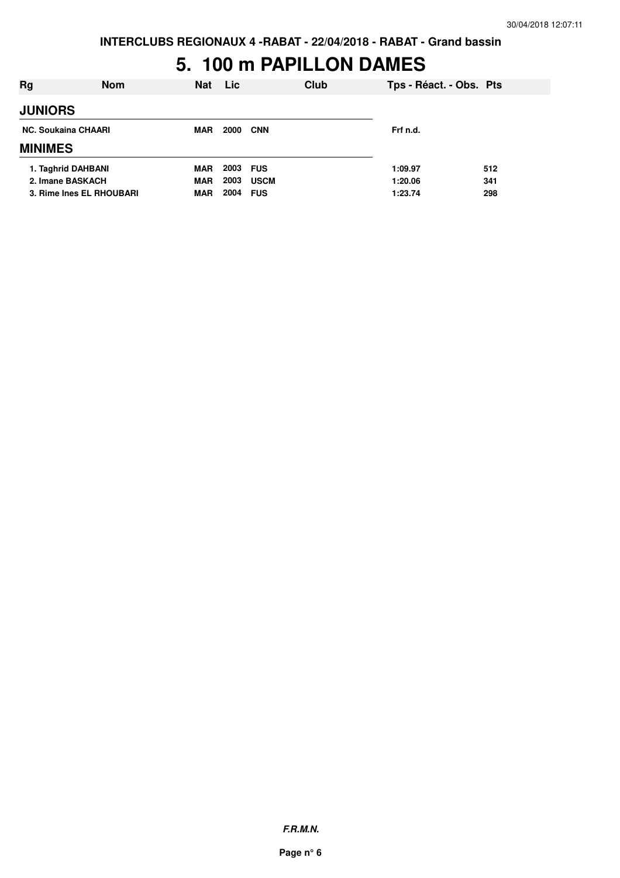**INTERCLUBS REGIONAUX 4 -RABAT - 22/04/2018 - RABAT - Grand bassin**

### **5. 100 m PAPILLON DAMES**

| Rg                         | <b>Nom</b> | <b>Nat</b> | <b>Lic</b> | Club        |         | Tps - Réact. - Obs. Pts |     |
|----------------------------|------------|------------|------------|-------------|---------|-------------------------|-----|
| <b>JUNIORS</b>             |            |            |            |             |         |                         |     |
| <b>NC. Soukaina CHAARI</b> | <b>MAR</b> | 2000       | <b>CNN</b> | Frf n.d.    |         |                         |     |
| <b>MINIMES</b>             |            |            |            |             |         |                         |     |
| 1. Taghrid DAHBANI         |            | <b>MAR</b> | 2003       | <b>FUS</b>  | 1:09.97 |                         | 512 |
| 2. Imane BASKACH           |            | <b>MAR</b> | 2003       | <b>USCM</b> |         | 1:20.06                 | 341 |
| 3. Rime Ines EL RHOUBARI   |            | <b>MAR</b> | 2004       | <b>FUS</b>  | 1:23.74 |                         | 298 |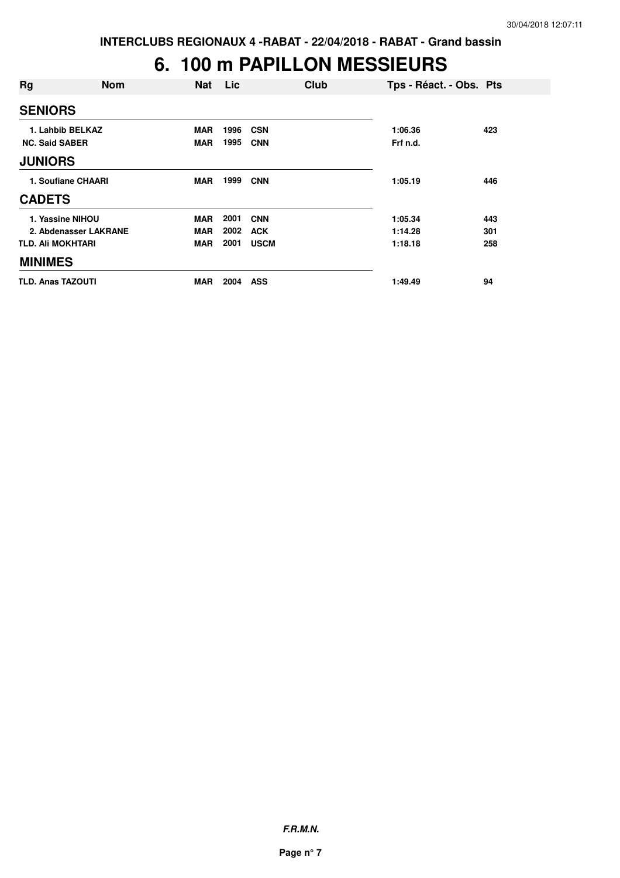### **6. 100 m PAPILLON MESSIEURS**

| Rg                       | <b>Nom</b>            | <b>Nat</b> | Lic  | Club        | Tps - Réact. - Obs. Pts |     |
|--------------------------|-----------------------|------------|------|-------------|-------------------------|-----|
| <b>SENIORS</b>           |                       |            |      |             |                         |     |
|                          | 1. Lahbib BELKAZ      | <b>MAR</b> | 1996 | <b>CSN</b>  | 1:06.36                 | 423 |
| <b>NC. Said SABER</b>    |                       | <b>MAR</b> | 1995 | <b>CNN</b>  | Frf n.d.                |     |
| <b>JUNIORS</b>           |                       |            |      |             |                         |     |
| 1. Soufiane CHAARI       |                       | <b>MAR</b> | 1999 | <b>CNN</b>  | 1:05.19                 | 446 |
| <b>CADETS</b>            |                       |            |      |             |                         |     |
| 1. Yassine NIHOU         |                       | <b>MAR</b> | 2001 | <b>CNN</b>  | 1:05.34                 | 443 |
|                          | 2. Abdenasser LAKRANE | <b>MAR</b> | 2002 | <b>ACK</b>  | 1:14.28                 | 301 |
| <b>TLD. Ali MOKHTARI</b> |                       | <b>MAR</b> | 2001 | <b>USCM</b> | 1:18.18                 | 258 |
| <b>MINIMES</b>           |                       |            |      |             |                         |     |
| <b>TLD. Anas TAZOUTI</b> |                       | <b>MAR</b> | 2004 | <b>ASS</b>  | 1:49.49                 | 94  |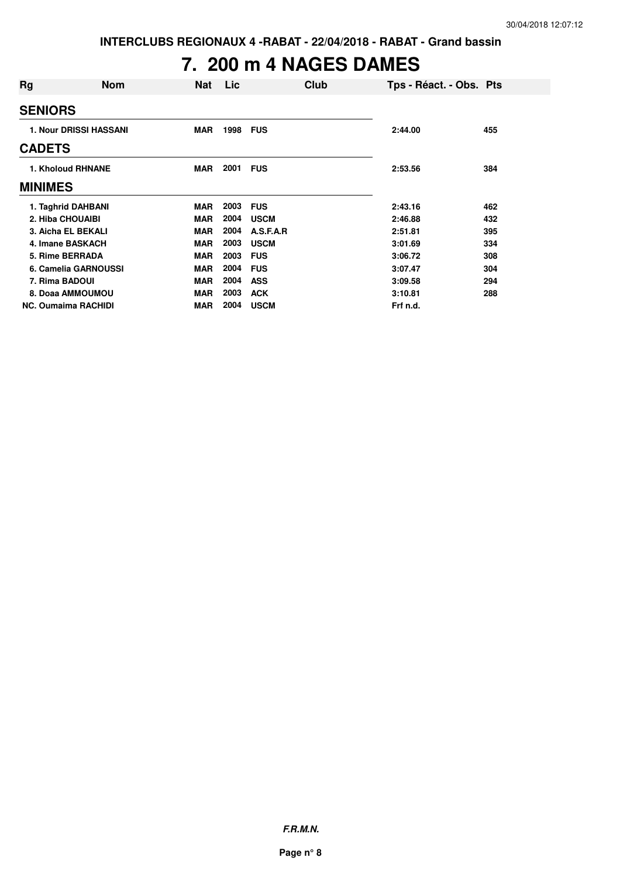# **7. 200 m 4 NAGES DAMES**

| Rg             | <b>Nom</b>                    | <b>Nat</b> | <b>Lic</b> |             | Club | Tps - Réact. - Obs. Pts |     |
|----------------|-------------------------------|------------|------------|-------------|------|-------------------------|-----|
| <b>SENIORS</b> |                               |            |            |             |      |                         |     |
|                | <b>1. Nour DRISSI HASSANI</b> | <b>MAR</b> | 1998       | <b>FUS</b>  |      | 2:44.00                 | 455 |
| <b>CADETS</b>  |                               |            |            |             |      |                         |     |
|                | <b>1. Kholoud RHNANE</b>      | MAR        | 2001       | <b>FUS</b>  |      | 2:53.56                 | 384 |
| <b>MINIMES</b> |                               |            |            |             |      |                         |     |
|                | 1. Taghrid DAHBANI            | <b>MAR</b> | 2003       | <b>FUS</b>  |      | 2:43.16                 | 462 |
|                | 2. Hiba CHOUAIBI              | <b>MAR</b> | 2004       | <b>USCM</b> |      | 2:46.88                 | 432 |
|                | 3. Aicha EL BEKALI            | <b>MAR</b> | 2004       | A.S.F.A.R   |      | 2:51.81                 | 395 |
|                | 4. Imane BASKACH              | <b>MAR</b> | 2003       | <b>USCM</b> |      | 3:01.69                 | 334 |
|                | 5. Rime BERRADA               | <b>MAR</b> | 2003       | <b>FUS</b>  |      | 3:06.72                 | 308 |
|                | 6. Camelia GARNOUSSI          | <b>MAR</b> | 2004       | <b>FUS</b>  |      | 3:07.47                 | 304 |
| 7. Rima BADOUI |                               | <b>MAR</b> | 2004       | <b>ASS</b>  |      | 3:09.58                 | 294 |
|                | 8. Doaa AMMOUMOU              | <b>MAR</b> | 2003       | <b>ACK</b>  |      | 3:10.81                 | 288 |
|                | <b>NC. Oumaima RACHIDI</b>    | <b>MAR</b> | 2004       | <b>USCM</b> |      | Frf n.d.                |     |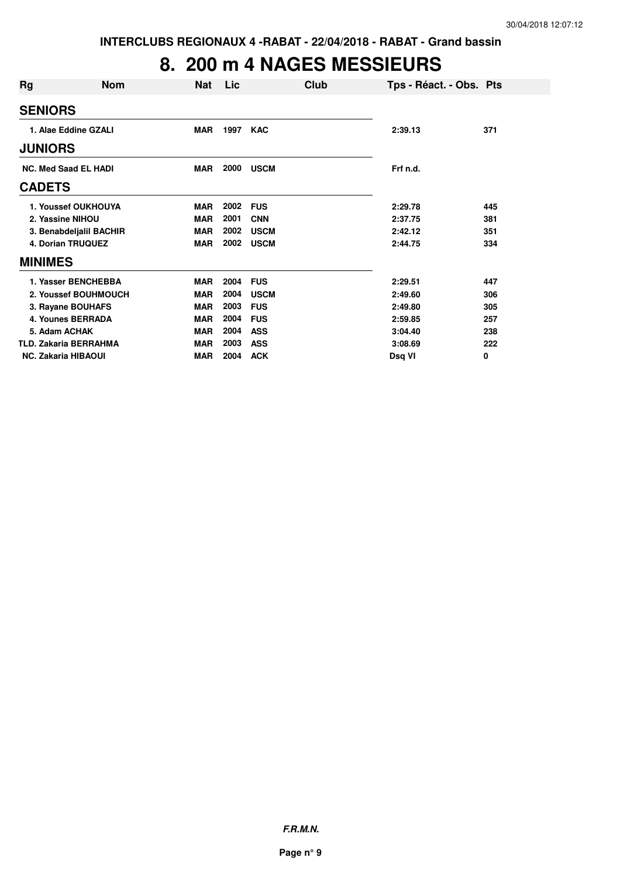### **8. 200 m 4 NAGES MESSIEURS**

| Rg                          | <b>Nom</b>                   | Nat        | Lic         | Club        | Tps - Réact. - Obs. Pts |     |
|-----------------------------|------------------------------|------------|-------------|-------------|-------------------------|-----|
| <b>SENIORS</b>              |                              |            |             |             |                         |     |
|                             | 1. Alae Eddine GZALI         | <b>MAR</b> | 1997        | <b>KAC</b>  | 2:39.13                 | 371 |
| <b>JUNIORS</b>              |                              |            |             |             |                         |     |
| <b>NC. Med Saad EL HADI</b> | <b>MAR</b>                   | 2000       | <b>USCM</b> | Frf n.d.    |                         |     |
| <b>CADETS</b>               |                              |            |             |             |                         |     |
|                             | 1. Youssef OUKHOUYA          | <b>MAR</b> | 2002        | <b>FUS</b>  | 2:29.78                 | 445 |
|                             | 2. Yassine NIHOU             | <b>MAR</b> | 2001        | <b>CNN</b>  | 2:37.75                 | 381 |
|                             | 3. Benabdeljalil BACHIR      | <b>MAR</b> | 2002        | <b>USCM</b> | 2:42.12                 | 351 |
|                             | 4. Dorian TRUQUEZ            | <b>MAR</b> | 2002        | <b>USCM</b> | 2:44.75                 | 334 |
| <b>MINIMES</b>              |                              |            |             |             |                         |     |
|                             | 1. Yasser BENCHEBBA          | <b>MAR</b> | 2004        | <b>FUS</b>  | 2:29.51                 | 447 |
|                             | 2. Youssef BOUHMOUCH         | <b>MAR</b> | 2004        | <b>USCM</b> | 2:49.60                 | 306 |
|                             | 3. Rayane BOUHAFS            | <b>MAR</b> | 2003        | <b>FUS</b>  | 2:49.80                 | 305 |
|                             | <b>4. Younes BERRADA</b>     | <b>MAR</b> | 2004        | <b>FUS</b>  | 2:59.85                 | 257 |
|                             | 5. Adam ACHAK                | <b>MAR</b> | 2004        | <b>ASS</b>  | 3:04.40                 | 238 |
|                             | <b>TLD. Zakaria BERRAHMA</b> | <b>MAR</b> | 2003        | <b>ASS</b>  | 3:08.69                 | 222 |
|                             | <b>NC. Zakaria HIBAOUI</b>   | <b>MAR</b> | 2004        | <b>ACK</b>  | Dsg VI                  | 0   |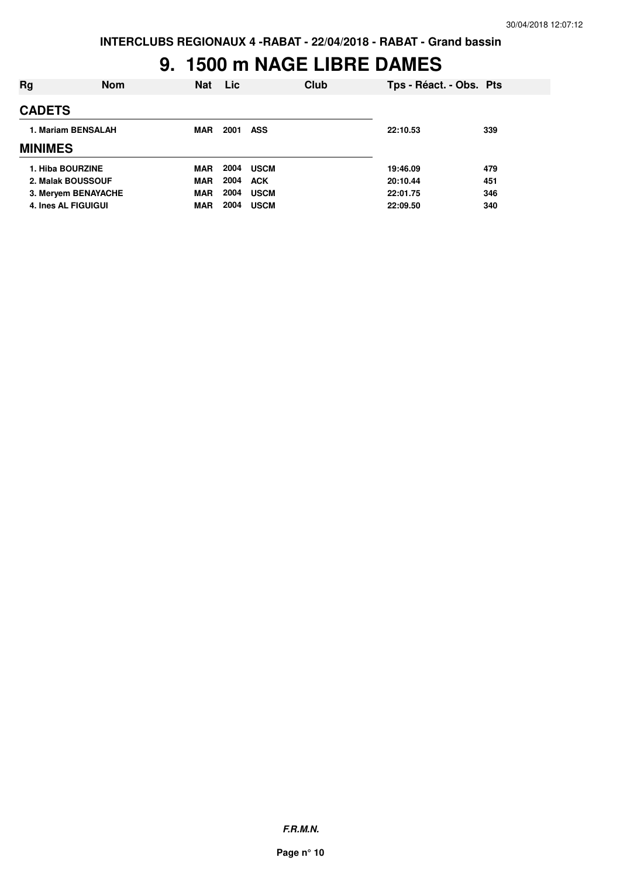### **9. 1500 m NAGE LIBRE DAMES**

| Rg                         | <b>Nom</b> | <b>Nat</b> | <b>Lic</b> |             | Club | Tps - Réact. - Obs. Pts |     |
|----------------------------|------------|------------|------------|-------------|------|-------------------------|-----|
| <b>CADETS</b>              |            |            |            |             |      |                         |     |
| 1. Mariam BENSALAH         |            | <b>MAR</b> | 2001       | ASS         |      | 22:10.53                | 339 |
| <b>MINIMES</b>             |            |            |            |             |      |                         |     |
| 1. Hiba BOURZINE           |            | <b>MAR</b> | 2004       | <b>USCM</b> |      | 19:46.09                | 479 |
| 2. Malak BOUSSOUF          |            | <b>MAR</b> | 2004       | <b>ACK</b>  |      | 20:10.44                | 451 |
| 3. Meryem BENAYACHE        |            | <b>MAR</b> | 2004       | <b>USCM</b> |      | 22:01.75                | 346 |
| <b>4. Ines AL FIGUIGUI</b> |            | <b>MAR</b> | 2004       | <b>USCM</b> |      | 22:09.50                | 340 |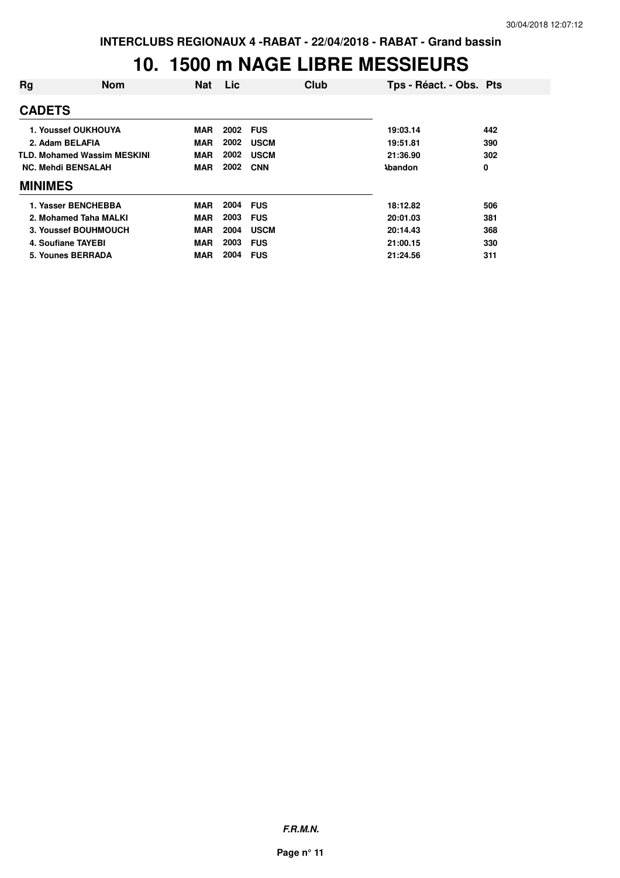#### **10. 1500 m NAGE LIBRE MESSIEURS**

| Rg                        | <b>Nom</b>                         | <b>Nat</b> | Lic  | Club        | Tps - Réact. - Obs. Pts |     |
|---------------------------|------------------------------------|------------|------|-------------|-------------------------|-----|
| <b>CADETS</b>             |                                    |            |      |             |                         |     |
|                           | 1. Youssef OUKHOUYA                | <b>MAR</b> | 2002 | <b>FUS</b>  | 19:03.14                | 442 |
| 2. Adam BELAFIA           |                                    | <b>MAR</b> | 2002 | <b>USCM</b> | 19:51.81                | 390 |
|                           | <b>TLD. Mohamed Wassim MESKINI</b> | <b>MAR</b> | 2002 | <b>USCM</b> | 21:36.90                | 302 |
| <b>NC. Mehdi BENSALAH</b> |                                    | <b>MAR</b> | 2002 | <b>CNN</b>  | <b>\bandon</b>          | 0   |
| <b>MINIMES</b>            |                                    |            |      |             |                         |     |
|                           | 1. Yasser BENCHEBBA                | <b>MAR</b> | 2004 | <b>FUS</b>  | 18:12.82                | 506 |
|                           | 2. Mohamed Taha MALKI              | <b>MAR</b> | 2003 | <b>FUS</b>  | 20:01.03                | 381 |
|                           | 3. Youssef BOUHMOUCH               | <b>MAR</b> | 2004 | <b>USCM</b> | 20:14.43                | 368 |
|                           | 4. Soufiane TAYEBI                 | <b>MAR</b> | 2003 | <b>FUS</b>  | 21:00.15                | 330 |
|                           | 5. Younes BERRADA                  | <b>MAR</b> | 2004 | <b>FUS</b>  | 21:24.56                | 311 |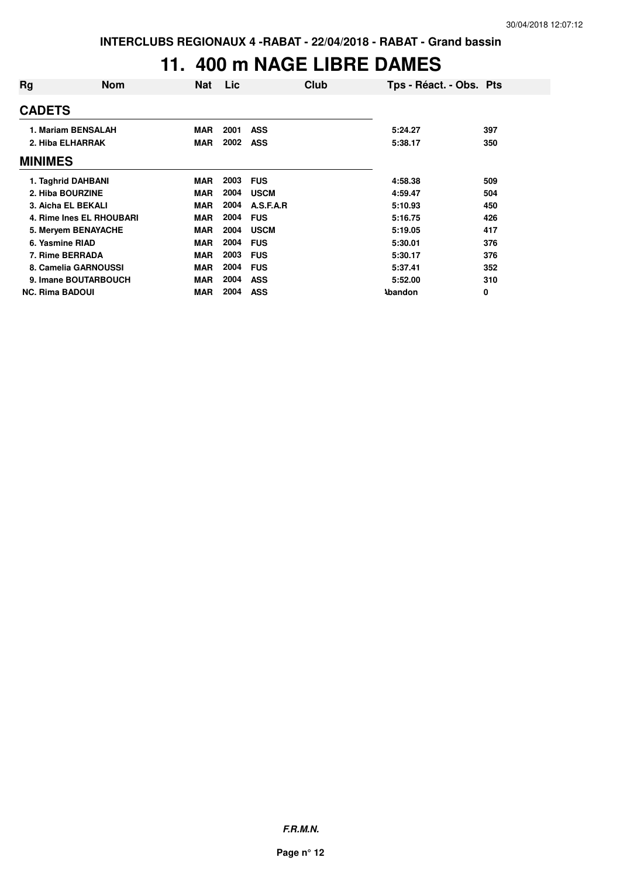## **11. 400 m NAGE LIBRE DAMES**

| Rg                     | <b>Nom</b>               | <b>Nat</b> | <b>Lic</b> | Club        |                | Tps - Réact. - Obs. Pts |
|------------------------|--------------------------|------------|------------|-------------|----------------|-------------------------|
| <b>CADETS</b>          |                          |            |            |             |                |                         |
|                        | 1. Mariam BENSALAH       | <b>MAR</b> | 2001       | <b>ASS</b>  | 5:24.27        | 397                     |
|                        | 2. Hiba ELHARRAK         | <b>MAR</b> | 2002       | <b>ASS</b>  | 5:38.17        | 350                     |
| <b>MINIMES</b>         |                          |            |            |             |                |                         |
|                        | 1. Taghrid DAHBANI       | <b>MAR</b> | 2003       | <b>FUS</b>  | 4:58.38        | 509                     |
|                        | 2. Hiba BOURZINE         | <b>MAR</b> | 2004       | <b>USCM</b> | 4:59.47        | 504                     |
|                        | 3. Aicha EL BEKALI       | <b>MAR</b> | 2004       | A.S.F.A.R   | 5:10.93        | 450                     |
|                        | 4. Rime Ines EL RHOUBARI | <b>MAR</b> | 2004       | <b>FUS</b>  | 5:16.75        | 426                     |
|                        | 5. Meryem BENAYACHE      | <b>MAR</b> | 2004       | <b>USCM</b> | 5:19.05        | 417                     |
|                        | 6. Yasmine RIAD          | <b>MAR</b> | 2004       | <b>FUS</b>  | 5:30.01        | 376                     |
|                        | 7. Rime BERRADA          | <b>MAR</b> | 2003       | <b>FUS</b>  | 5:30.17        | 376                     |
|                        | 8. Camelia GARNOUSSI     | <b>MAR</b> | 2004       | <b>FUS</b>  | 5:37.41        | 352                     |
|                        | 9. Imane BOUTARBOUCH     | <b>MAR</b> | 2004       | <b>ASS</b>  | 5:52.00        | 310                     |
| <b>NC. Rima BADOUI</b> |                          | <b>MAR</b> | 2004       | <b>ASS</b>  | <b>Abandon</b> | 0                       |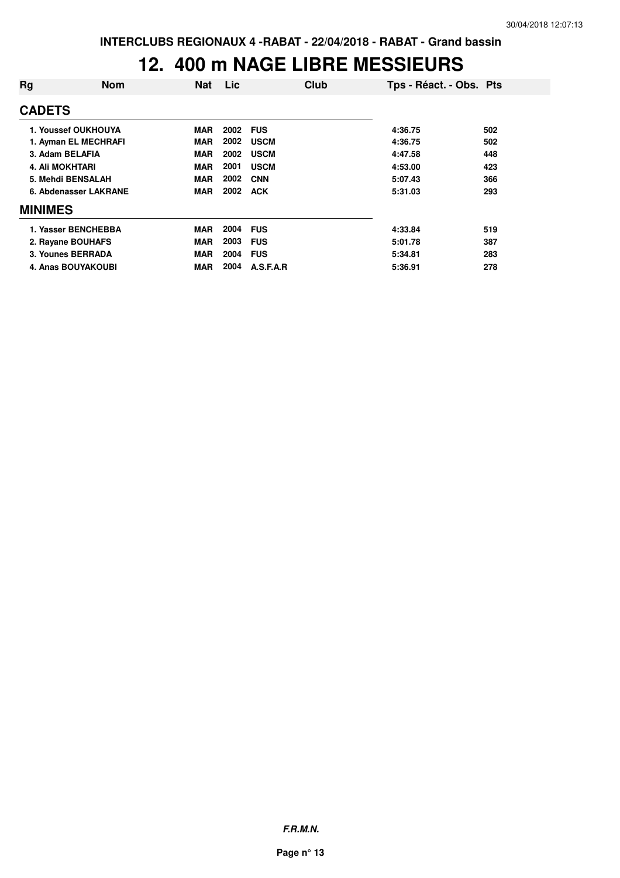#### **12. 400 m NAGE LIBRE MESSIEURS**

| Rg                     | <b>Nom</b>                | <b>Nat</b> | <b>Lic</b> | Club        | Tps - Réact. - Obs. Pts |     |
|------------------------|---------------------------|------------|------------|-------------|-------------------------|-----|
| <b>CADETS</b>          |                           |            |            |             |                         |     |
|                        | 1. Youssef OUKHOUYA       | MAR        | 2002       | <b>FUS</b>  | 4:36.75                 | 502 |
| 1. Ayman EL MECHRAFI   |                           | <b>MAR</b> | 2002       | <b>USCM</b> | 4:36.75                 | 502 |
| 3. Adam BELAFIA        |                           | <b>MAR</b> | 2002       | <b>USCM</b> | 4:47.58                 | 448 |
| <b>4. Ali MOKHTARI</b> |                           | <b>MAR</b> | 2001       | <b>USCM</b> | 4:53.00                 | 423 |
|                        | 5. Mehdi BENSALAH         | <b>MAR</b> | 2002       | <b>CNN</b>  | 5:07.43                 | 366 |
|                        | 6. Abdenasser LAKRANE     | <b>MAR</b> | 2002       | <b>ACK</b>  | 5:31.03                 | 293 |
| <b>MINIMES</b>         |                           |            |            |             |                         |     |
|                        | 1. Yasser BENCHEBBA       | <b>MAR</b> | 2004       | <b>FUS</b>  | 4:33.84                 | 519 |
|                        | 2. Rayane BOUHAFS         | <b>MAR</b> | 2003       | <b>FUS</b>  | 5:01.78                 | 387 |
|                        | 3. Younes BERRADA         | <b>MAR</b> | 2004       | <b>FUS</b>  | 5:34.81                 | 283 |
|                        | <b>4. Anas BOUYAKOUBI</b> | MAR        | 2004       | A.S.F.A.R   | 5:36.91                 | 278 |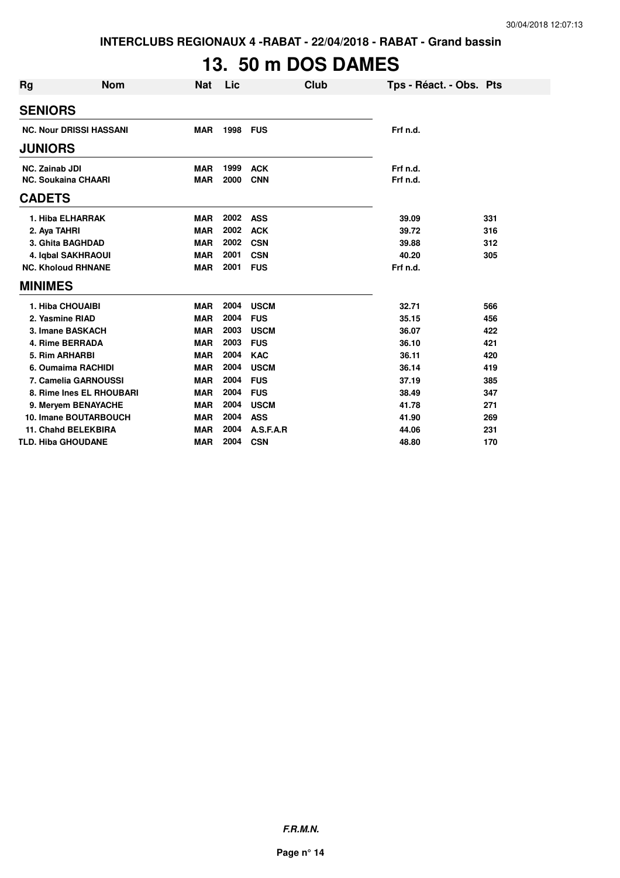**INTERCLUBS REGIONAUX 4 -RABAT - 22/04/2018 - RABAT - Grand bassin**

# **13. 50 m DOS DAMES**

| Rg                    | <b>Nom</b>                     | <b>Nat</b> | Lic  | <b>Club</b> | Tps - Réact. - Obs. Pts |     |
|-----------------------|--------------------------------|------------|------|-------------|-------------------------|-----|
| <b>SENIORS</b>        |                                |            |      |             |                         |     |
|                       | <b>NC. Nour DRISSI HASSANI</b> | <b>MAR</b> | 1998 | <b>FUS</b>  | Frf n.d.                |     |
| <b>JUNIORS</b>        |                                |            |      |             |                         |     |
| <b>NC. Zainab JDI</b> |                                | <b>MAR</b> | 1999 | <b>ACK</b>  | Frf n.d.                |     |
|                       | <b>NC. Soukaina CHAARI</b>     | <b>MAR</b> | 2000 | <b>CNN</b>  | Frf n.d.                |     |
| <b>CADETS</b>         |                                |            |      |             |                         |     |
|                       | 1. Hiba ELHARRAK               | <b>MAR</b> | 2002 | <b>ASS</b>  | 39.09                   | 331 |
| 2. Aya TAHRI          |                                | <b>MAR</b> | 2002 | <b>ACK</b>  | 39.72                   | 316 |
|                       | 3. Ghita BAGHDAD               | <b>MAR</b> | 2002 | <b>CSN</b>  | 39.88                   | 312 |
|                       | 4. Iqbal SAKHRAOUI             | <b>MAR</b> | 2001 | <b>CSN</b>  | 40.20                   | 305 |
|                       | <b>NC. Kholoud RHNANE</b>      | <b>MAR</b> | 2001 | <b>FUS</b>  | Frf n.d.                |     |
| <b>MINIMES</b>        |                                |            |      |             |                         |     |
|                       | 1. Hiba CHOUAIBI               | <b>MAR</b> | 2004 | <b>USCM</b> | 32.71                   | 566 |
|                       | 2. Yasmine RIAD                | <b>MAR</b> | 2004 | <b>FUS</b>  | 35.15                   | 456 |
|                       | 3. Imane BASKACH               | <b>MAR</b> | 2003 | <b>USCM</b> | 36.07                   | 422 |
|                       | 4. Rime BERRADA                | <b>MAR</b> | 2003 | <b>FUS</b>  | 36.10                   | 421 |
|                       | 5. Rim ARHARBI                 | <b>MAR</b> | 2004 | <b>KAC</b>  | 36.11                   | 420 |
|                       | 6. Oumaima RACHIDI             | <b>MAR</b> | 2004 | <b>USCM</b> | 36.14                   | 419 |
|                       | 7. Camelia GARNOUSSI           | <b>MAR</b> | 2004 | <b>FUS</b>  | 37.19                   | 385 |
|                       | 8. Rime Ines EL RHOUBARI       | <b>MAR</b> | 2004 | <b>FUS</b>  | 38.49                   | 347 |
|                       | 9. Meryem BENAYACHE            | <b>MAR</b> | 2004 | <b>USCM</b> | 41.78                   | 271 |
|                       | 10. Imane BOUTARBOUCH          | <b>MAR</b> | 2004 | <b>ASS</b>  | 41.90                   | 269 |
|                       | <b>11. Chahd BELEKBIRA</b>     | <b>MAR</b> | 2004 | A.S.F.A.R   | 44.06                   | 231 |
|                       | <b>TLD. Hiba GHOUDANE</b>      | <b>MAR</b> | 2004 | <b>CSN</b>  | 48.80                   | 170 |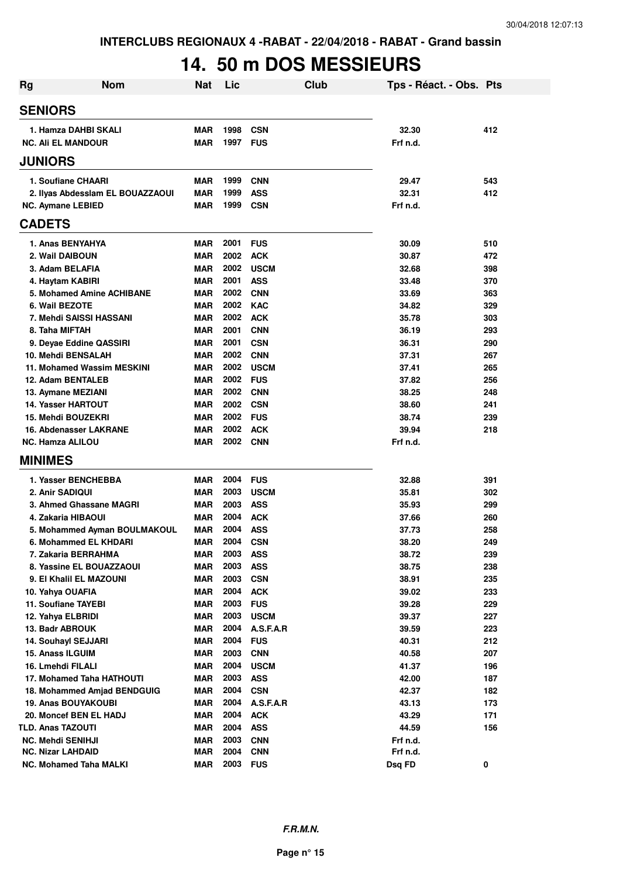# **14. 50 m DOS MESSIEURS**

| <b>Nom</b><br><b>Rg</b>                 | <b>Nat</b>        | Lic          |                          | Club | Tps - Réact. - Obs. Pts |            |
|-----------------------------------------|-------------------|--------------|--------------------------|------|-------------------------|------------|
| <b>SENIORS</b>                          |                   |              |                          |      |                         |            |
| 1. Hamza DAHBI SKALI                    | <b>MAR</b>        | 1998         | <b>CSN</b>               |      | 32.30                   | 412        |
| <b>NC. Ali EL MANDOUR</b>               | <b>MAR</b>        | 1997         | <b>FUS</b>               |      | Frf n.d.                |            |
| <b>JUNIORS</b>                          |                   |              |                          |      |                         |            |
| 1. Soufiane CHAARI                      | <b>MAR</b>        | 1999         | <b>CNN</b>               |      | 29.47                   | 543        |
| 2. Ilyas Abdesslam EL BOUAZZAOUI        | <b>MAR</b>        | 1999         | <b>ASS</b>               |      | 32.31                   | 412        |
| <b>NC. Aymane LEBIED</b>                | <b>MAR</b>        | 1999         | <b>CSN</b>               |      | Frf n.d.                |            |
| <b>CADETS</b>                           |                   |              |                          |      |                         |            |
| 1. Anas BENYAHYA                        | <b>MAR</b>        | 2001         | <b>FUS</b>               |      | 30.09                   | 510        |
| 2. Wail DAIBOUN                         | <b>MAR</b>        | 2002         | <b>ACK</b>               |      | 30.87                   | 472        |
| 3. Adam BELAFIA                         | MAR               | 2002         | <b>USCM</b>              |      | 32.68                   | 398        |
| 4. Haytam KABIRI                        | MAR               | 2001         | <b>ASS</b>               |      | 33.48                   | 370        |
| 5. Mohamed Amine ACHIBANE               | <b>MAR</b>        | 2002         | <b>CNN</b>               |      | 33.69                   | 363        |
| 6. Wail BEZOTE                          | <b>MAR</b>        | 2002         | <b>KAC</b>               |      | 34.82                   | 329        |
| 7. Mehdi SAISSI HASSANI                 | <b>MAR</b>        | 2002         | <b>ACK</b>               |      | 35.78                   | 303        |
| 8. Taha MIFTAH                          | <b>MAR</b>        | 2001         | <b>CNN</b>               |      | 36.19                   | 293        |
| 9. Deyae Eddine QASSIRI                 | <b>MAR</b>        | 2001         | <b>CSN</b>               |      | 36.31                   | 290        |
| 10. Mehdi BENSALAH                      | <b>MAR</b>        | 2002         | <b>CNN</b>               |      | 37.31                   | 267        |
| 11. Mohamed Wassim MESKINI              | <b>MAR</b>        | 2002         | <b>USCM</b>              |      | 37.41                   | 265        |
| 12. Adam BENTALEB                       | <b>MAR</b>        | 2002         | <b>FUS</b>               |      | 37.82                   | 256        |
| 13. Aymane MEZIANI                      | <b>MAR</b>        | 2002         | <b>CNN</b>               |      | 38.25                   | 248        |
| <b>14. Yasser HARTOUT</b>               | <b>MAR</b>        | 2002         | CSN                      |      | 38.60                   | 241        |
| 15. Mehdi BOUZEKRI                      | MAR               | 2002         | <b>FUS</b>               |      | 38.74                   | 239        |
| 16. Abdenasser LAKRANE                  | MAR               | 2002         | <b>ACK</b>               |      | 39.94                   | 218        |
| <b>NC. Hamza ALILOU</b>                 | MAR               | 2002         | <b>CNN</b>               |      | Frf n.d.                |            |
| <b>MINIMES</b>                          |                   |              |                          |      |                         |            |
| 1. Yasser BENCHEBBA                     | <b>MAR</b>        | 2004         | <b>FUS</b>               |      | 32.88                   | 391        |
| 2. Anir SADIQUI                         | <b>MAR</b>        | 2003         | <b>USCM</b>              |      | 35.81                   | 302        |
| 3. Ahmed Ghassane MAGRI                 | <b>MAR</b>        | 2003         | <b>ASS</b>               |      | 35.93                   | 299        |
| 4. Zakaria HIBAOUI                      | <b>MAR</b>        | 2004         | <b>ACK</b>               |      | 37.66                   | 260        |
| 5. Mohammed Ayman BOULMAKOUL            | <b>MAR</b>        | 2004         | <b>ASS</b>               |      | 37.73                   | 258        |
| 6. Mohammed EL KHDARI                   | <b>MAR</b>        | 2004         | <b>CSN</b>               |      | 38.20                   | 249        |
| 7. Zakaria BERRAHMA                     | MAR               | 2003         | <b>ASS</b>               |      | 38.72                   | 239        |
| 8. Yassine EL BOUAZZAOUI                | <b>MAR</b>        | 2003         | <b>ASS</b>               |      | 38.75                   | 238        |
| 9. El Khalil EL MAZOUNI                 | <b>MAR</b>        | 2003         | <b>CSN</b>               |      | 38.91                   | 235        |
| 10. Yahya OUAFIA                        | <b>MAR</b>        | 2004         | <b>ACK</b>               |      | 39.02                   | 233        |
| 11. Soufiane TAYEBI                     | MAR               | 2003         | <b>FUS</b>               |      | 39.28                   | 229        |
| 12. Yahya ELBRIDI                       | <b>MAR</b>        | 2003         | <b>USCM</b>              |      | 39.37                   | 227        |
| 13. Badr ABROUK                         | <b>MAR</b>        | 2004<br>2004 | A.S.F.A.R                |      | 39.59                   | 223        |
| 14. Souhayl SEJJARI<br>15. Anass ILGUIM | <b>MAR</b><br>MAR | 2003         | <b>FUS</b><br><b>CNN</b> |      | 40.31<br>40.58          | 212<br>207 |
| 16. Lmehdi FILALI                       | MAR               | 2004         | <b>USCM</b>              |      | 41.37                   | 196        |
| 17. Mohamed Taha HATHOUTI               | MAR               | 2003         | <b>ASS</b>               |      | 42.00                   | 187        |
| 18. Mohammed Amjad BENDGUIG             | MAR               | 2004         | <b>CSN</b>               |      | 42.37                   | 182        |
| 19. Anas BOUYAKOUBI                     | MAR               | 2004         | A.S.F.A.R                |      | 43.13                   | 173        |
| 20. Moncef BEN EL HADJ                  | <b>MAR</b>        | 2004         | <b>ACK</b>               |      | 43.29                   | 171        |
| <b>TLD. Anas TAZOUTI</b>                | <b>MAR</b>        | 2004         | <b>ASS</b>               |      | 44.59                   | 156        |
| <b>NC. Mehdi SENIHJI</b>                | <b>MAR</b>        | 2003         | <b>CNN</b>               |      | Frf n.d.                |            |
| <b>NC. Nizar LAHDAID</b>                | <b>MAR</b>        | 2004         | <b>CNN</b>               |      | Frf n.d.                |            |
| NC. Mohamed Taha MALKI                  | <b>MAR</b>        | 2003         | <b>FUS</b>               |      | Dsq FD                  | 0          |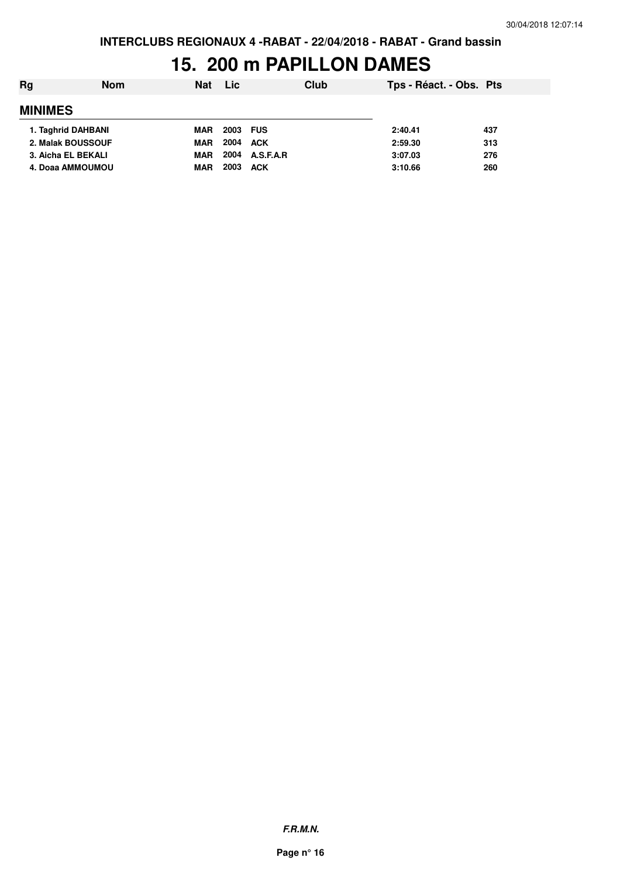### **15. 200 m PAPILLON DAMES**

| Rg                 | <b>Nom</b> | <b>Nat</b> | <b>Lic</b> |            | Club | Tps - Réact. - Obs. Pts |     |
|--------------------|------------|------------|------------|------------|------|-------------------------|-----|
| <b>MINIMES</b>     |            |            |            |            |      |                         |     |
| 1. Taghrid DAHBANI |            | <b>MAR</b> | 2003 FUS   |            |      | 2:40.41                 | 437 |
| 2. Malak BOUSSOUF  |            | <b>MAR</b> | 2004       | ACK        |      | 2:59.30                 | 313 |
| 3. Aicha EL BEKALI |            | <b>MAR</b> | 2004       | A.S.F.A.R  |      | 3:07.03                 | 276 |
| 4. Doaa AMMOUMOU   |            | <b>MAR</b> | 2003       | <b>ACK</b> |      | 3:10.66                 | 260 |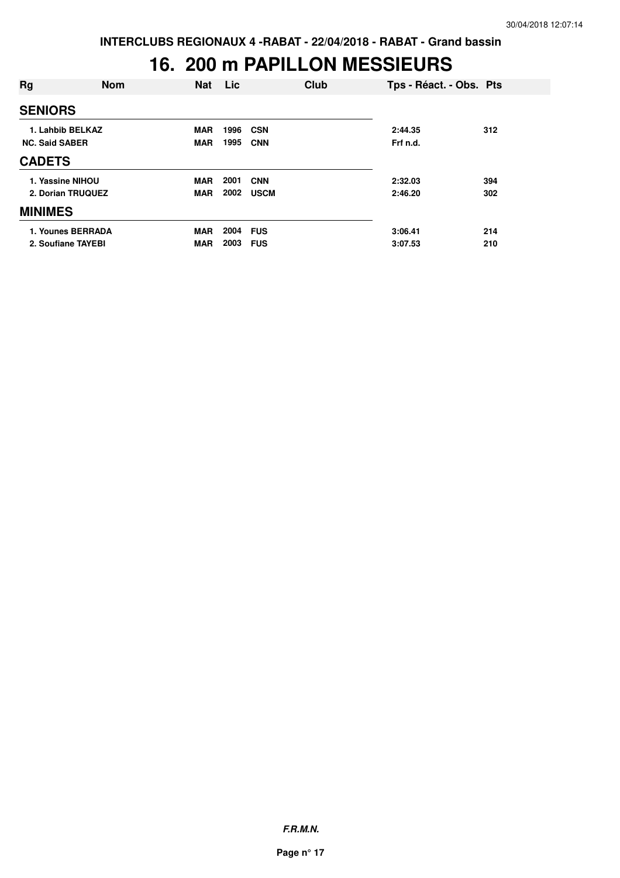### **16. 200 m PAPILLON MESSIEURS**

| Rg                    | <b>Nom</b> | <b>Nat</b> | Lic  | Club        | Tps - Réact. - Obs. Pts |     |
|-----------------------|------------|------------|------|-------------|-------------------------|-----|
| <b>SENIORS</b>        |            |            |      |             |                         |     |
| 1. Lahbib BELKAZ      |            | <b>MAR</b> | 1996 | <b>CSN</b>  | 2:44.35                 | 312 |
| <b>NC. Said SABER</b> |            | <b>MAR</b> | 1995 | <b>CNN</b>  | Frf n.d.                |     |
| <b>CADETS</b>         |            |            |      |             |                         |     |
| 1. Yassine NIHOU      |            | <b>MAR</b> | 2001 | <b>CNN</b>  | 2:32.03                 | 394 |
| 2. Dorian TRUQUEZ     |            | <b>MAR</b> | 2002 | <b>USCM</b> | 2:46.20                 | 302 |
| <b>MINIMES</b>        |            |            |      |             |                         |     |
| 1. Younes BERRADA     |            | <b>MAR</b> | 2004 | <b>FUS</b>  | 3:06.41                 | 214 |
| 2. Soufiane TAYEBI    |            | <b>MAR</b> | 2003 | <b>FUS</b>  | 3:07.53                 | 210 |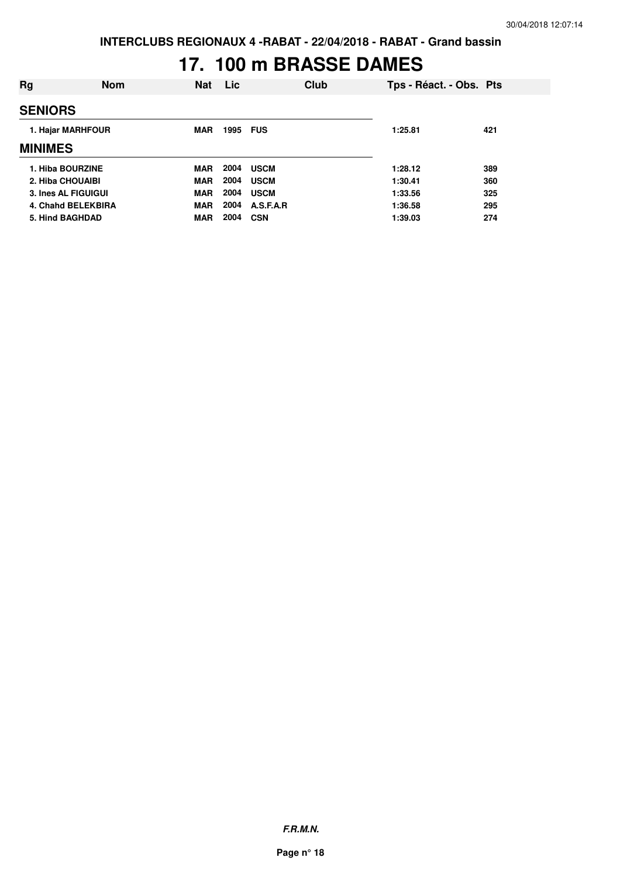# **17. 100 m BRASSE DAMES**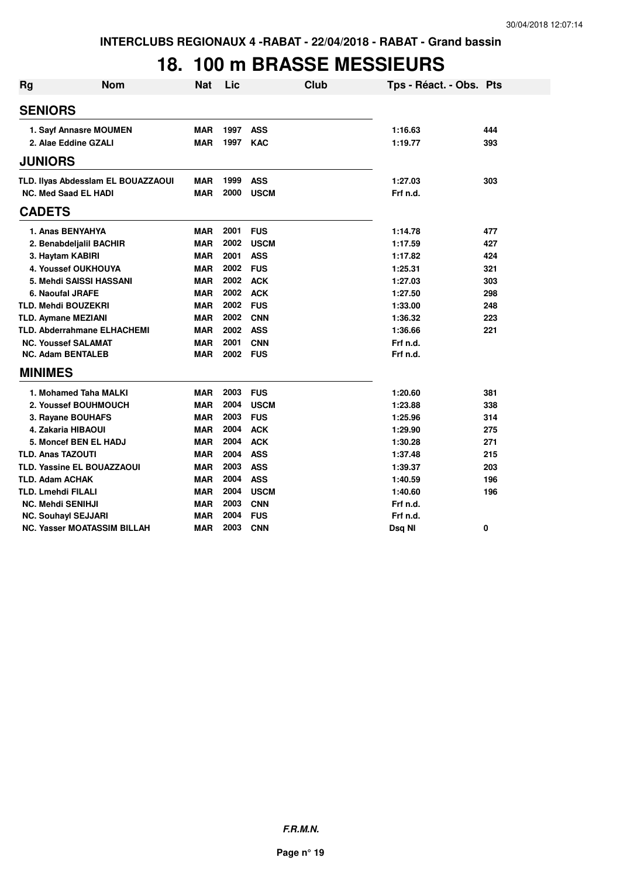### **18. 100 m BRASSE MESSIEURS**

| <b>Rg</b> | <b>Nom</b>                         | <b>Nat</b> | Lic      | <b>Club</b> | Tps - Réact. - Obs. Pts |     |
|-----------|------------------------------------|------------|----------|-------------|-------------------------|-----|
|           | <b>SENIORS</b>                     |            |          |             |                         |     |
|           | 1. Sayf Annasre MOUMEN             | <b>MAR</b> | 1997     | <b>ASS</b>  | 1:16.63                 | 444 |
|           | 2. Alae Eddine GZALI               | <b>MAR</b> | 1997     | <b>KAC</b>  | 1:19.77                 | 393 |
|           | <b>JUNIORS</b>                     |            |          |             |                         |     |
|           | TLD. Ilyas Abdesslam EL BOUAZZAOUI | <b>MAR</b> | 1999     | <b>ASS</b>  | 1:27.03                 | 303 |
|           | <b>NC. Med Saad EL HADI</b>        | <b>MAR</b> | 2000     | <b>USCM</b> | Frf n.d.                |     |
|           | <b>CADETS</b>                      |            |          |             |                         |     |
|           | 1. Anas BENYAHYA                   | <b>MAR</b> | 2001     | <b>FUS</b>  | 1:14.78                 | 477 |
|           | 2. Benabdeljalil BACHIR            | <b>MAR</b> | 2002     | <b>USCM</b> | 1:17.59                 | 427 |
|           | 3. Haytam KABIRI                   | <b>MAR</b> | 2001     | <b>ASS</b>  | 1:17.82                 | 424 |
|           | 4. Youssef OUKHOUYA                | <b>MAR</b> | 2002     | <b>FUS</b>  | 1:25.31                 | 321 |
|           | 5. Mehdi SAISSI HASSANI            | <b>MAR</b> | 2002     | <b>ACK</b>  | 1:27.03                 | 303 |
|           | <b>6. Naoufal JRAFE</b>            | <b>MAR</b> | 2002     | <b>ACK</b>  | 1:27.50                 | 298 |
|           | <b>TLD. Mehdi BOUZEKRI</b>         | <b>MAR</b> | 2002     | <b>FUS</b>  | 1:33.00                 | 248 |
|           | <b>TLD. Aymane MEZIANI</b>         | <b>MAR</b> | 2002     | <b>CNN</b>  | 1:36.32                 | 223 |
|           | <b>TLD. Abderrahmane ELHACHEMI</b> | <b>MAR</b> | 2002     | <b>ASS</b>  | 1:36.66                 | 221 |
|           | <b>NC. Youssef SALAMAT</b>         | <b>MAR</b> | 2001     | <b>CNN</b>  | Frf n.d.                |     |
|           | <b>NC. Adam BENTALEB</b>           | <b>MAR</b> | 2002 FUS |             | Frf n.d.                |     |
|           | <b>MINIMES</b>                     |            |          |             |                         |     |
|           | 1. Mohamed Taha MALKI              | <b>MAR</b> | 2003     | <b>FUS</b>  | 1:20.60                 | 381 |
|           | 2. Youssef BOUHMOUCH               | <b>MAR</b> | 2004     | <b>USCM</b> | 1:23.88                 | 338 |
|           | 3. Rayane BOUHAFS                  | <b>MAR</b> | 2003     | <b>FUS</b>  | 1:25.96                 | 314 |
|           | 4. Zakaria HIBAOUI                 | <b>MAR</b> | 2004     | <b>ACK</b>  | 1:29.90                 | 275 |
|           | <b>5. Moncef BEN EL HADJ</b>       | <b>MAR</b> | 2004     | <b>ACK</b>  | 1:30.28                 | 271 |
|           | <b>TLD. Anas TAZOUTI</b>           | <b>MAR</b> | 2004     | <b>ASS</b>  | 1:37.48                 | 215 |
|           | TLD. Yassine EL BOUAZZAOUI         | <b>MAR</b> | 2003     | <b>ASS</b>  | 1:39.37                 | 203 |
|           | <b>TLD. Adam ACHAK</b>             | <b>MAR</b> | 2004     | <b>ASS</b>  | 1:40.59                 | 196 |
|           | <b>TLD. Lmehdi FILALI</b>          | <b>MAR</b> | 2004     | <b>USCM</b> | 1:40.60                 | 196 |
|           | <b>NC. Mehdi SENIHJI</b>           | <b>MAR</b> | 2003     | <b>CNN</b>  | Frf n.d.                |     |
|           | <b>NC. Souhayl SEJJARI</b>         | <b>MAR</b> | 2004     | <b>FUS</b>  | Frf n.d.                |     |
|           | <b>NC. Yasser MOATASSIM BILLAH</b> | <b>MAR</b> | 2003     | <b>CNN</b>  | Dsq NI                  | 0   |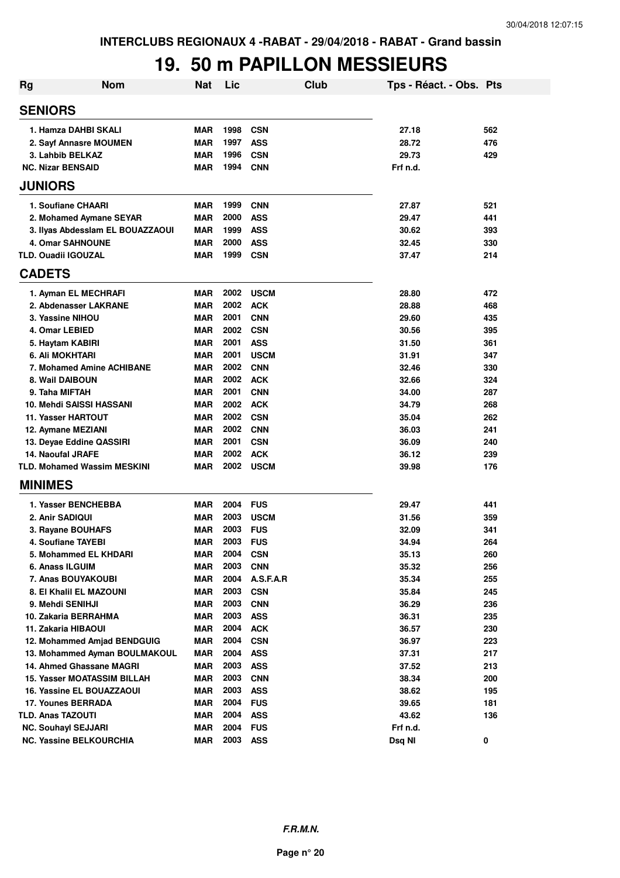### **19. 50 m PAPILLON MESSIEURS**

| Rg                                                     | <b>Nom</b> | Nat                      | Lic          |                          | Club | Tps - Réact. - Obs. Pts |     |
|--------------------------------------------------------|------------|--------------------------|--------------|--------------------------|------|-------------------------|-----|
| <b>SENIORS</b>                                         |            |                          |              |                          |      |                         |     |
| 1. Hamza DAHBI SKALI                                   |            | <b>MAR</b>               | 1998         | <b>CSN</b>               |      | 27.18                   | 562 |
| 2. Sayf Annasre MOUMEN                                 |            | <b>MAR</b>               | 1997         | <b>ASS</b>               |      | 28.72                   | 476 |
| 3. Lahbib BELKAZ                                       |            | <b>MAR</b>               | 1996         | <b>CSN</b>               |      | 29.73                   | 429 |
| <b>NC. Nizar BENSAID</b>                               |            | <b>MAR</b>               | 1994         | <b>CNN</b>               |      | Frf n.d.                |     |
| <b>JUNIORS</b>                                         |            |                          |              |                          |      |                         |     |
| 1. Soufiane CHAARI                                     |            | <b>MAR</b>               | 1999         | <b>CNN</b>               |      | 27.87                   | 521 |
| 2. Mohamed Aymane SEYAR                                |            | MAR                      | 2000         | <b>ASS</b>               |      | 29.47                   | 441 |
| 3. Ilyas Abdesslam EL BOUAZZAOUI                       |            | <b>MAR</b>               | 1999         | <b>ASS</b>               |      | 30.62                   | 393 |
| <b>4. Omar SAHNOUNE</b>                                |            | <b>MAR</b>               | 2000         | <b>ASS</b>               |      | 32.45                   | 330 |
| <b>TLD. Ouadii IGOUZAL</b>                             |            | <b>MAR</b>               | 1999         | <b>CSN</b>               |      | 37.47                   | 214 |
| <b>CADETS</b>                                          |            |                          |              |                          |      |                         |     |
| 1. Ayman EL MECHRAFI                                   |            | <b>MAR</b>               | 2002         | <b>USCM</b>              |      | 28.80                   | 472 |
| 2. Abdenasser LAKRANE                                  |            | MAR                      | 2002         | <b>ACK</b>               |      | 28.88                   | 468 |
| 3. Yassine NIHOU                                       |            | MAR                      | 2001         | <b>CNN</b>               |      | 29.60                   | 435 |
| 4. Omar LEBIED                                         |            | <b>MAR</b>               | 2002         | <b>CSN</b>               |      | 30.56                   | 395 |
| 5. Haytam KABIRI                                       |            | <b>MAR</b>               | 2001         | <b>ASS</b>               |      | 31.50                   | 361 |
| <b>6. Ali MOKHTARI</b>                                 |            | <b>MAR</b>               | 2001         | <b>USCM</b>              |      | 31.91                   | 347 |
| 7. Mohamed Amine ACHIBANE                              |            | MAR                      | 2002         | <b>CNN</b>               |      | 32.46                   | 330 |
| 8. Wail DAIBOUN                                        |            | MAR                      | 2002         | ACK                      |      | 32.66                   | 324 |
| 9. Taha MIFTAH                                         |            | <b>MAR</b>               | 2001         | <b>CNN</b>               |      | 34.00                   | 287 |
| 10. Mehdi SAISSI HASSANI                               |            | <b>MAR</b>               | 2002         | <b>ACK</b>               |      | 34.79                   | 268 |
| <b>11. Yasser HARTOUT</b>                              |            | MAR                      | 2002         | <b>CSN</b>               |      | 35.04                   | 262 |
| 12. Aymane MEZIANI                                     |            | <b>MAR</b>               | 2002         | <b>CNN</b>               |      | 36.03                   | 241 |
| 13. Deyae Eddine QASSIRI                               |            | <b>MAR</b>               | 2001         | <b>CSN</b>               |      | 36.09                   | 240 |
| <b>14. Naoufal JRAFE</b>                               |            | <b>MAR</b>               | 2002         | <b>ACK</b>               |      | 36.12                   | 239 |
| <b>TLD. Mohamed Wassim MESKINI</b>                     |            | <b>MAR</b>               | 2002         | <b>USCM</b>              |      | 39.98                   | 176 |
| <b>MINIMES</b>                                         |            |                          |              |                          |      |                         |     |
| 1. Yasser BENCHEBBA                                    |            | <b>MAR</b>               | 2004         | <b>FUS</b>               |      | 29.47                   | 441 |
| 2. Anir SADIQUI                                        |            | <b>MAR</b>               | 2003         | <b>USCM</b>              |      | 31.56                   | 359 |
| 3. Rayane BOUHAFS                                      |            | MAR                      | 2003         | <b>FUS</b>               |      | 32.09                   | 341 |
| 4. Soufiane TAYEBI                                     |            | MAR                      | 2003         | <b>FUS</b>               |      | 34.94                   | 264 |
| 5. Mohammed EL KHDARI                                  |            | MAR                      | 2004         | <b>CSN</b>               |      | 35.13                   | 260 |
| 6. Anass ILGUIM                                        |            | <b>MAR</b>               | 2003         | <b>CNN</b>               |      | 35.32                   | 256 |
| 7. Anas BOUYAKOUBI                                     |            | <b>MAR</b>               | 2004         | A.S.F.A.R                |      | 35.34                   | 255 |
| 8. El Khalil EL MAZOUNI                                |            | <b>MAR</b>               | 2003         | <b>CSN</b>               |      | 35.84                   | 245 |
| 9. Mehdi SENIHJI                                       |            | <b>MAR</b>               | 2003         | <b>CNN</b>               |      | 36.29                   | 236 |
| 10. Zakaria BERRAHMA                                   |            | <b>MAR</b>               | 2003         | <b>ASS</b>               |      | 36.31                   | 235 |
| 11. Zakaria HIBAOUI                                    |            | <b>MAR</b>               | 2004         | <b>ACK</b>               |      | 36.57                   | 230 |
| 12. Mohammed Amjad BENDGUIG                            |            | MAR                      | 2004         | <b>CSN</b>               |      | 36.97                   | 223 |
| 13. Mohammed Ayman BOULMAKOUL                          |            | MAR                      | 2004         | <b>ASS</b>               |      | 37.31                   | 217 |
| 14. Ahmed Ghassane MAGRI                               |            | MAR                      | 2003         | <b>ASS</b>               |      | 37.52                   | 213 |
| 15. Yasser MOATASSIM BILLAH                            |            | <b>MAR</b>               | 2003         | <b>CNN</b>               |      | 38.34                   | 200 |
| 16. Yassine EL BOUAZZAOUI                              |            | <b>MAR</b>               | 2003         | <b>ASS</b>               |      | 38.62                   | 195 |
| 17. Younes BERRADA                                     |            | <b>MAR</b>               | 2004         | <b>FUS</b>               |      | 39.65                   | 181 |
| <b>TLD. Anas TAZOUTI</b><br><b>NC. Souhayl SEJJARI</b> |            | <b>MAR</b><br><b>MAR</b> | 2004<br>2004 | <b>ASS</b><br><b>FUS</b> |      | 43.62<br>Frf n.d.       | 136 |
| <b>NC. Yassine BELKOURCHIA</b>                         |            | MAR                      | 2003         | <b>ASS</b>               |      | Dsq NI                  | 0   |
|                                                        |            |                          |              |                          |      |                         |     |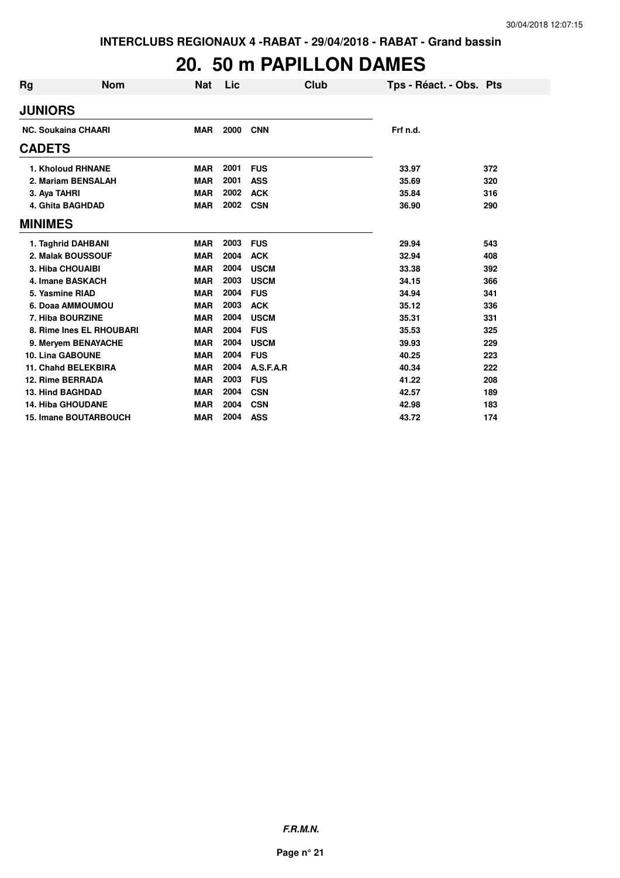## **20. 50 m PAPILLON DAMES**

| Rg             | <b>Nom</b>                 | <b>Nat</b> | Lic  | Club        | Tps - Réact. - Obs. Pts |     |
|----------------|----------------------------|------------|------|-------------|-------------------------|-----|
| <b>JUNIORS</b> |                            |            |      |             |                         |     |
|                | <b>NC. Soukaina CHAARI</b> | <b>MAR</b> | 2000 | <b>CNN</b>  | Frf n.d.                |     |
| <b>CADETS</b>  |                            |            |      |             |                         |     |
|                | <b>1. Kholoud RHNANE</b>   | <b>MAR</b> | 2001 | <b>FUS</b>  | 33.97                   | 372 |
|                | 2. Mariam BENSALAH         | <b>MAR</b> | 2001 | <b>ASS</b>  | 35.69                   | 320 |
| 3. Aya TAHRI   |                            | <b>MAR</b> | 2002 | <b>ACK</b>  | 35.84                   | 316 |
|                | 4. Ghita BAGHDAD           | <b>MAR</b> | 2002 | <b>CSN</b>  | 36.90                   | 290 |
| <b>MINIMES</b> |                            |            |      |             |                         |     |
|                | 1. Taghrid DAHBANI         | <b>MAR</b> | 2003 | <b>FUS</b>  | 29.94                   | 543 |
|                | 2. Malak BOUSSOUF          | <b>MAR</b> | 2004 | <b>ACK</b>  | 32.94                   | 408 |
|                | <b>3. Hiba CHOUAIBI</b>    | <b>MAR</b> | 2004 | <b>USCM</b> | 33.38                   | 392 |
|                | 4. Imane BASKACH           | <b>MAR</b> | 2003 | <b>USCM</b> | 34.15                   | 366 |
|                | 5. Yasmine RIAD            | <b>MAR</b> | 2004 | <b>FUS</b>  | 34.94                   | 341 |
|                | 6. Doaa AMMOUMOU           | <b>MAR</b> | 2003 | <b>ACK</b>  | 35.12                   | 336 |
|                | 7. Hiba BOURZINE           | <b>MAR</b> | 2004 | <b>USCM</b> | 35.31                   | 331 |
|                | 8. Rime Ines EL RHOUBARI   | <b>MAR</b> | 2004 | <b>FUS</b>  | 35.53                   | 325 |
|                | 9. Meryem BENAYACHE        | <b>MAR</b> | 2004 | <b>USCM</b> | 39.93                   | 229 |
|                | <b>10. Lina GABOUNE</b>    | <b>MAR</b> | 2004 | <b>FUS</b>  | 40.25                   | 223 |
|                | <b>11. Chahd BELEKBIRA</b> | <b>MAR</b> | 2004 | A.S.F.A.R   | 40.34                   | 222 |
|                | 12. Rime BERRADA           | <b>MAR</b> | 2003 | <b>FUS</b>  | 41.22                   | 208 |
|                | <b>13. Hind BAGHDAD</b>    | <b>MAR</b> | 2004 | <b>CSN</b>  | 42.57                   | 189 |
|                | <b>14. Hiba GHOUDANE</b>   | <b>MAR</b> | 2004 | <b>CSN</b>  | 42.98                   | 183 |
|                | 15. Imane BOUTARBOUCH      | <b>MAR</b> | 2004 | <b>ASS</b>  | 43.72                   | 174 |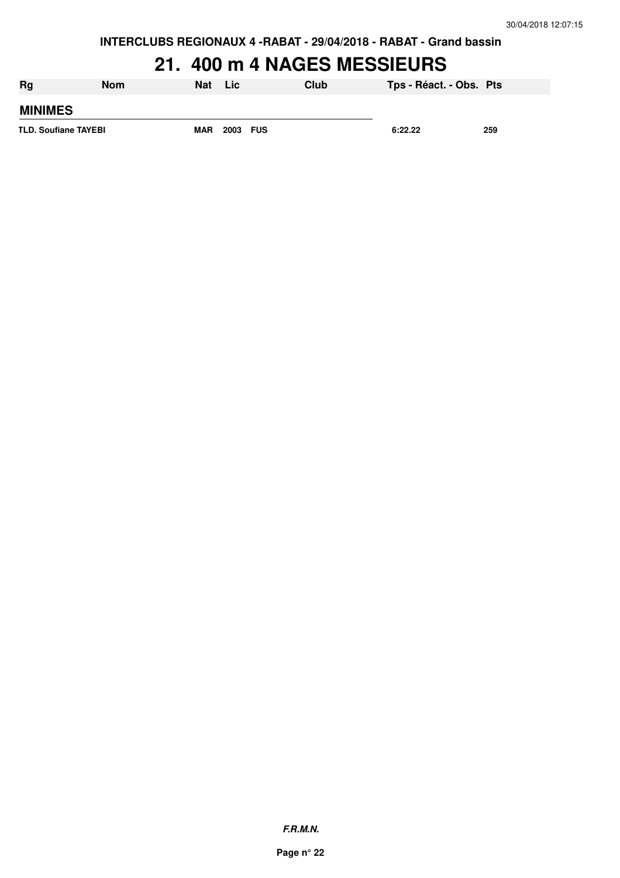**INTERCLUBS REGIONAUX 4 -RABAT - 29/04/2018 - RABAT - Grand bassin**

### **21. 400 m 4 NAGES MESSIEURS**

| Rg                          | <b>Nom</b> | <b>Nat</b> | Lic      | Club | Tps - Réact. - Obs. Pts |     |
|-----------------------------|------------|------------|----------|------|-------------------------|-----|
| <b>MINIMES</b>              |            |            |          |      |                         |     |
| <b>TLD. Soufiane TAYEBI</b> |            | <b>MAR</b> | 2003 FUS |      | 6:22.22                 | 259 |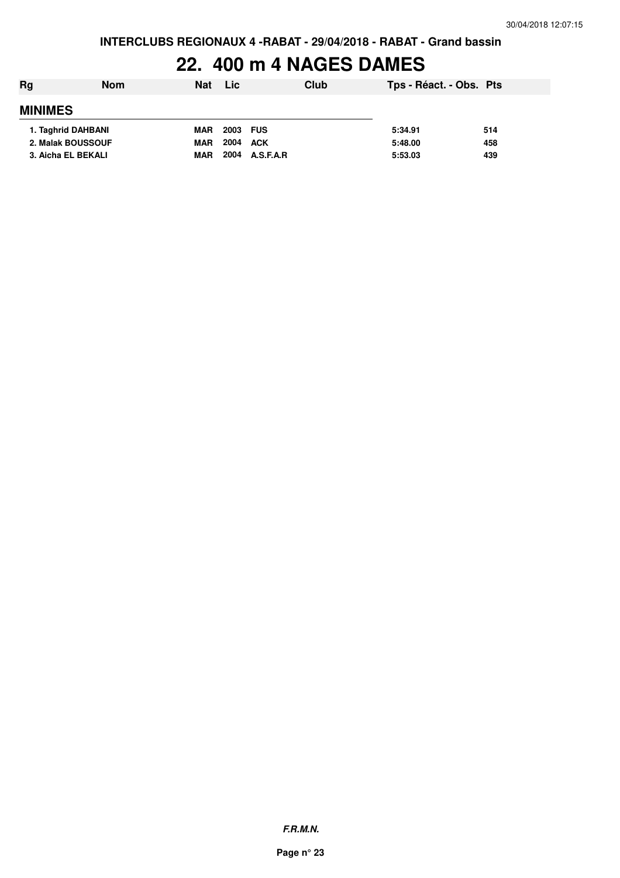### **22. 400 m 4 NAGES DAMES**

| Rg                 | <b>Nom</b> | <b>Nat</b> | Lic      | Club      | Tps - Réact. - Obs. Pts |     |
|--------------------|------------|------------|----------|-----------|-------------------------|-----|
| <b>MINIMES</b>     |            |            |          |           |                         |     |
| 1. Taghrid DAHBANI |            | <b>MAR</b> | 2003 FUS |           | 5:34.91                 | 514 |
| 2. Malak BOUSSOUF  |            | <b>MAR</b> | 2004     | ACK       | 5:48.00                 | 458 |
| 3. Aicha EL BEKALI |            | <b>MAR</b> | 2004     | A.S.F.A.R | 5:53.03                 | 439 |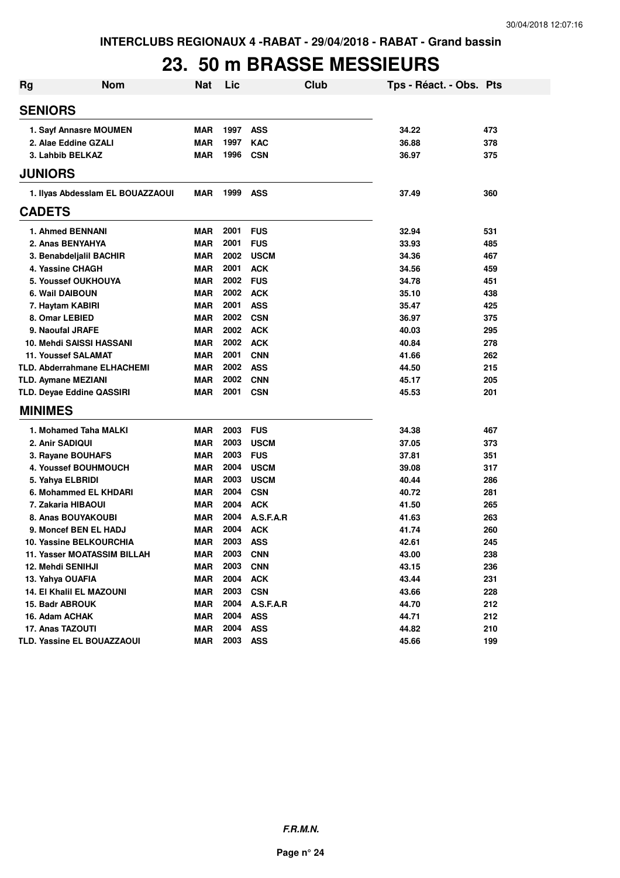#### **23. 50 m BRASSE MESSIEURS**

| Rg | <b>Nom</b>                         | <b>Nat</b> | Lic  | <b>Club</b> | Tps - Réact. - Obs. Pts |     |
|----|------------------------------------|------------|------|-------------|-------------------------|-----|
|    | <b>SENIORS</b>                     |            |      |             |                         |     |
|    | 1. Sayf Annasre MOUMEN             | MAR        | 1997 | <b>ASS</b>  | 34.22                   | 473 |
|    | 2. Alae Eddine GZALI               | MAR        | 1997 | <b>KAC</b>  | 36.88                   | 378 |
|    | 3. Lahbib BELKAZ                   | MAR        | 1996 | <b>CSN</b>  | 36.97                   | 375 |
|    | <b>JUNIORS</b>                     |            |      |             |                         |     |
|    | 1. Ilyas Abdesslam EL BOUAZZAOUI   | MAR        | 1999 | <b>ASS</b>  | 37.49                   | 360 |
|    | <b>CADETS</b>                      |            |      |             |                         |     |
|    | 1. Ahmed BENNANI                   | <b>MAR</b> | 2001 | <b>FUS</b>  | 32.94                   | 531 |
|    | 2. Anas BENYAHYA                   | <b>MAR</b> | 2001 | <b>FUS</b>  | 33.93                   | 485 |
|    | 3. Benabdeljalil BACHIR            | <b>MAR</b> | 2002 | <b>USCM</b> | 34.36                   | 467 |
|    | 4. Yassine CHAGH                   | <b>MAR</b> | 2001 | <b>ACK</b>  | 34.56                   | 459 |
|    | <b>5. Youssef OUKHOUYA</b>         | <b>MAR</b> | 2002 | <b>FUS</b>  | 34.78                   | 451 |
|    | 6. Wail DAIBOUN                    | MAR        | 2002 | <b>ACK</b>  | 35.10                   | 438 |
|    | 7. Haytam KABIRI                   | <b>MAR</b> | 2001 | <b>ASS</b>  | 35.47                   | 425 |
|    | 8. Omar LEBIED                     | MAR        | 2002 | <b>CSN</b>  | 36.97                   | 375 |
|    | 9. Naoufal JRAFE                   | MAR        | 2002 | <b>ACK</b>  | 40.03                   | 295 |
|    | 10. Mehdi SAISSI HASSANI           | <b>MAR</b> | 2002 | <b>ACK</b>  | 40.84                   | 278 |
|    | <b>11. Youssef SALAMAT</b>         | <b>MAR</b> | 2001 | <b>CNN</b>  | 41.66                   | 262 |
|    | TLD. Abderrahmane ELHACHEMI        | MAR        | 2002 | <b>ASS</b>  | 44.50                   | 215 |
|    | <b>TLD. Aymane MEZIANI</b>         | MAR        | 2002 | <b>CNN</b>  | 45.17                   | 205 |
|    | TLD. Deyae Eddine QASSIRI          | MAR        | 2001 | <b>CSN</b>  | 45.53                   | 201 |
|    | <b>MINIMES</b>                     |            |      |             |                         |     |
|    | 1. Mohamed Taha MALKI              | MAR        | 2003 | <b>FUS</b>  | 34.38                   | 467 |
|    | 2. Anir SADIQUI                    | MAR        | 2003 | <b>USCM</b> | 37.05                   | 373 |
|    | 3. Rayane BOUHAFS                  | MAR        | 2003 | <b>FUS</b>  | 37.81                   | 351 |
|    | 4. Youssef BOUHMOUCH               | <b>MAR</b> | 2004 | <b>USCM</b> | 39.08                   | 317 |
|    | 5. Yahya ELBRIDI                   | <b>MAR</b> | 2003 | <b>USCM</b> | 40.44                   | 286 |
|    | 6. Mohammed EL KHDARI              | MAR        | 2004 | <b>CSN</b>  | 40.72                   | 281 |
|    | 7. Zakaria HIBAOUI                 | <b>MAR</b> | 2004 | <b>ACK</b>  | 41.50                   | 265 |
|    | 8. Anas BOUYAKOUBI                 | <b>MAR</b> | 2004 | A.S.F.A.R   | 41.63                   | 263 |
|    | 9. Moncef BEN EL HADJ              | MAR        | 2004 | <b>ACK</b>  | 41.74                   | 260 |
|    | 10. Yassine BELKOURCHIA            | MAR        | 2003 | ASS         | 42.61                   | 245 |
|    | <b>11. Yasser MOATASSIM BILLAH</b> | MAR        | 2003 | <b>CNN</b>  | 43.00                   | 238 |
|    | 12. Mehdi SENIHJI                  | MAR        | 2003 | <b>CNN</b>  | 43.15                   | 236 |
|    | 13. Yahya OUAFIA                   | <b>MAR</b> | 2004 | <b>ACK</b>  | 43.44                   | 231 |
|    | 14. El Khalil EL MAZOUNI           | <b>MAR</b> | 2003 | <b>CSN</b>  | 43.66                   | 228 |
|    | 15. Badr ABROUK                    | <b>MAR</b> | 2004 | A.S.F.A.R   | 44.70                   | 212 |
|    | 16. Adam ACHAK                     | <b>MAR</b> | 2004 | <b>ASS</b>  | 44.71                   | 212 |
|    | 17. Anas TAZOUTI                   | <b>MAR</b> | 2004 | <b>ASS</b>  | 44.82                   | 210 |
|    | TLD. Yassine EL BOUAZZAOUI         | <b>MAR</b> | 2003 | <b>ASS</b>  | 45.66                   | 199 |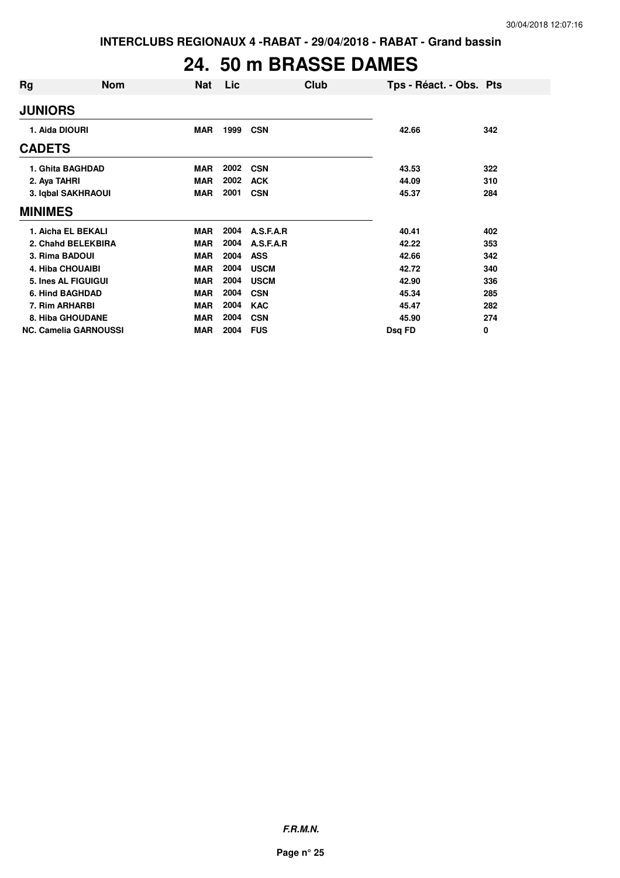## **24. 50 m BRASSE DAMES**

| Rg                      | <b>Nom</b>                   | <b>Nat</b> | Lic  | Club        | Tps - Réact. - Obs. Pts |     |
|-------------------------|------------------------------|------------|------|-------------|-------------------------|-----|
| <b>JUNIORS</b>          |                              |            |      |             |                         |     |
| 1. Aida DIOURI          |                              | <b>MAR</b> | 1999 | <b>CSN</b>  | 42.66                   | 342 |
| <b>CADETS</b>           |                              |            |      |             |                         |     |
|                         | 1. Ghita BAGHDAD             | <b>MAR</b> | 2002 | <b>CSN</b>  | 43.53                   | 322 |
| 2. Aya TAHRI            |                              | <b>MAR</b> | 2002 | <b>ACK</b>  | 44.09                   | 310 |
|                         | 3. Iqbal SAKHRAOUI           | <b>MAR</b> | 2001 | <b>CSN</b>  | 45.37                   | 284 |
| <b>MINIMES</b>          |                              |            |      |             |                         |     |
|                         | 1. Aicha EL BEKALI           | <b>MAR</b> | 2004 | A.S.F.A.R   | 40.41                   | 402 |
|                         | 2. Chahd BELEKBIRA           | <b>MAR</b> | 2004 | A.S.F.A.R   | 42.22                   | 353 |
| 3. Rima BADOUI          |                              | <b>MAR</b> | 2004 | <b>ASS</b>  | 42.66                   | 342 |
| <b>4. Hiba CHOUAIBI</b> |                              | <b>MAR</b> | 2004 | <b>USCM</b> | 42.72                   | 340 |
|                         | 5. Ines AL FIGUIGUI          | <b>MAR</b> | 2004 | <b>USCM</b> | 42.90                   | 336 |
| <b>6. Hind BAGHDAD</b>  |                              | <b>MAR</b> | 2004 | <b>CSN</b>  | 45.34                   | 285 |
| 7. Rim ARHARBI          |                              | <b>MAR</b> | 2004 | <b>KAC</b>  | 45.47                   | 282 |
|                         | 8. Hiba GHOUDANE             | <b>MAR</b> | 2004 | <b>CSN</b>  | 45.90                   | 274 |
|                         | <b>NC. Camelia GARNOUSSI</b> | MAR        | 2004 | <b>FUS</b>  | Dsq FD                  | 0   |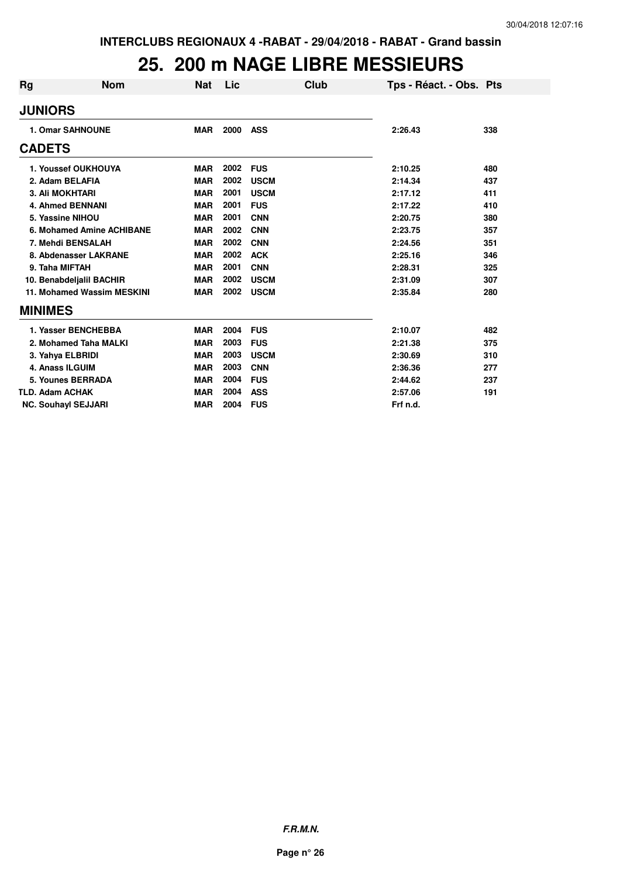#### **25. 200 m NAGE LIBRE MESSIEURS**

| Rg                     | <b>Nom</b>                 | <b>Nat</b> | Lic  | Club        | Tps - Réact. - Obs. Pts |     |
|------------------------|----------------------------|------------|------|-------------|-------------------------|-----|
| <b>JUNIORS</b>         |                            |            |      |             |                         |     |
|                        | <b>1. Omar SAHNOUNE</b>    | <b>MAR</b> | 2000 | <b>ASS</b>  | 2:26.43                 | 338 |
| <b>CADETS</b>          |                            |            |      |             |                         |     |
|                        | 1. Youssef OUKHOUYA        | <b>MAR</b> | 2002 | <b>FUS</b>  | 2:10.25                 | 480 |
|                        | 2. Adam BELAFIA            | <b>MAR</b> | 2002 | <b>USCM</b> | 2:14.34                 | 437 |
|                        | <b>3. Ali MOKHTARI</b>     | <b>MAR</b> | 2001 | <b>USCM</b> | 2:17.12                 | 411 |
|                        | <b>4. Ahmed BENNANI</b>    | <b>MAR</b> | 2001 | <b>FUS</b>  | 2:17.22                 | 410 |
|                        | 5. Yassine NIHOU           | <b>MAR</b> | 2001 | <b>CNN</b>  | 2:20.75                 | 380 |
|                        | 6. Mohamed Amine ACHIBANE  | <b>MAR</b> | 2002 | <b>CNN</b>  | 2:23.75                 | 357 |
|                        | 7. Mehdi BENSALAH          | <b>MAR</b> | 2002 | <b>CNN</b>  | 2:24.56                 | 351 |
|                        | 8. Abdenasser LAKRANE      | <b>MAR</b> | 2002 | <b>ACK</b>  | 2:25.16                 | 346 |
| 9. Taha MIFTAH         |                            | <b>MAR</b> | 2001 | <b>CNN</b>  | 2:28.31                 | 325 |
|                        | 10. Benabdeljalil BACHIR   | <b>MAR</b> | 2002 | <b>USCM</b> | 2:31.09                 | 307 |
|                        | 11. Mohamed Wassim MESKINI | <b>MAR</b> | 2002 | <b>USCM</b> | 2:35.84                 | 280 |
| <b>MINIMES</b>         |                            |            |      |             |                         |     |
|                        | 1. Yasser BENCHEBBA        | <b>MAR</b> | 2004 | <b>FUS</b>  | 2:10.07                 | 482 |
|                        | 2. Mohamed Taha MALKI      | <b>MAR</b> | 2003 | <b>FUS</b>  | 2:21.38                 | 375 |
|                        | 3. Yahya ELBRIDI           | <b>MAR</b> | 2003 | <b>USCM</b> | 2:30.69                 | 310 |
|                        | 4. Anass ILGUIM            | <b>MAR</b> | 2003 | <b>CNN</b>  | 2:36.36                 | 277 |
|                        | 5. Younes BERRADA          | <b>MAR</b> | 2004 | <b>FUS</b>  | 2:44.62                 | 237 |
| <b>TLD. Adam ACHAK</b> |                            | <b>MAR</b> | 2004 | <b>ASS</b>  | 2:57.06                 | 191 |
|                        | <b>NC. Souhayl SEJJARI</b> | <b>MAR</b> | 2004 | <b>FUS</b>  | Frf n.d.                |     |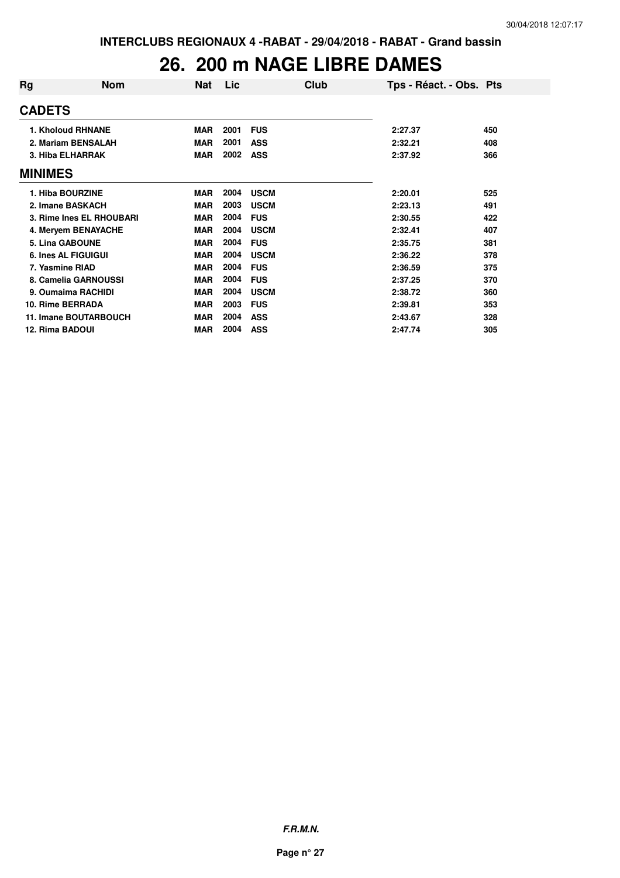#### **26. 200 m NAGE LIBRE DAMES**

| Rg             | <b>Nom</b>                   | Nat        | Lic  | Club        | Tps - Réact. - Obs. Pts |     |
|----------------|------------------------------|------------|------|-------------|-------------------------|-----|
| <b>CADETS</b>  |                              |            |      |             |                         |     |
|                | 1. Kholoud RHNANE            | <b>MAR</b> | 2001 | <b>FUS</b>  | 2:27.37                 | 450 |
|                | 2. Mariam BENSALAH           | <b>MAR</b> | 2001 | <b>ASS</b>  | 2:32.21                 | 408 |
|                | 3. Hiba ELHARRAK             | <b>MAR</b> | 2002 | <b>ASS</b>  | 2:37.92                 | 366 |
| <b>MINIMES</b> |                              |            |      |             |                         |     |
|                | 1. Hiba BOURZINE             | <b>MAR</b> | 2004 | <b>USCM</b> | 2:20.01                 | 525 |
|                | 2. Imane BASKACH             | <b>MAR</b> | 2003 | <b>USCM</b> | 2:23.13                 | 491 |
|                | 3. Rime Ines EL RHOUBARI     | <b>MAR</b> | 2004 | <b>FUS</b>  | 2:30.55                 | 422 |
|                | 4. Meryem BENAYACHE          | <b>MAR</b> | 2004 | <b>USCM</b> | 2:32.41                 | 407 |
|                | 5. Lina GABOUNE              | <b>MAR</b> | 2004 | <b>FUS</b>  | 2:35.75                 | 381 |
|                | <b>6. Ines AL FIGUIGUI</b>   | <b>MAR</b> | 2004 | <b>USCM</b> | 2:36.22                 | 378 |
|                | 7. Yasmine RIAD              | <b>MAR</b> | 2004 | <b>FUS</b>  | 2:36.59                 | 375 |
|                | 8. Camelia GARNOUSSI         | <b>MAR</b> | 2004 | <b>FUS</b>  | 2:37.25                 | 370 |
|                | 9. Oumaima RACHIDI           | <b>MAR</b> | 2004 | <b>USCM</b> | 2:38.72                 | 360 |
|                | 10. Rime BERRADA             | <b>MAR</b> | 2003 | <b>FUS</b>  | 2:39.81                 | 353 |
|                | <b>11. Imane BOUTARBOUCH</b> | <b>MAR</b> | 2004 | <b>ASS</b>  | 2:43.67                 | 328 |
|                | 12. Rima BADOUI              | <b>MAR</b> | 2004 | <b>ASS</b>  | 2:47.74                 | 305 |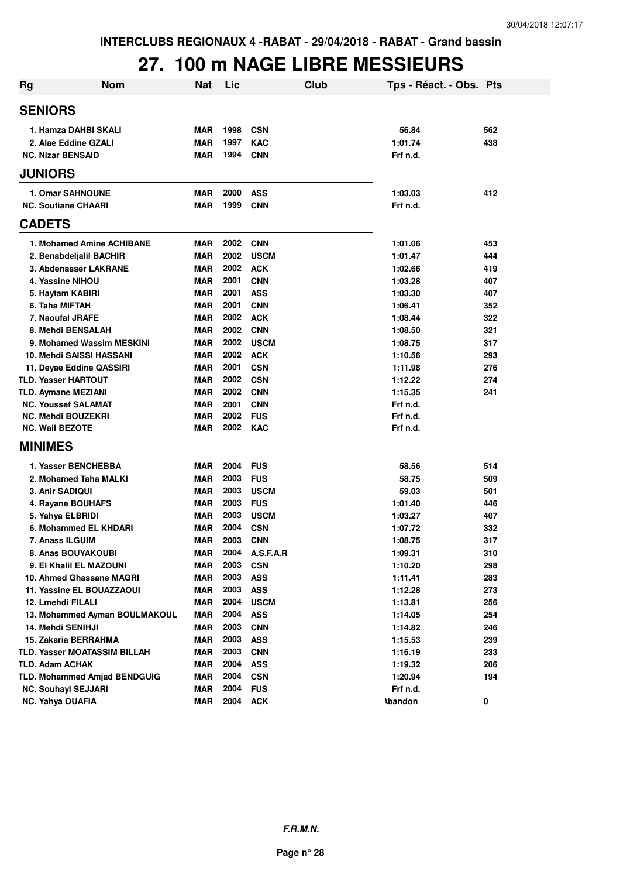#### **27. 100 m NAGE LIBRE MESSIEURS**

| <b>Rg</b> | <b>Nom</b>                          | <b>Nat</b> | Lic      |             | Club | Tps - Réact. - Obs. Pts |     |
|-----------|-------------------------------------|------------|----------|-------------|------|-------------------------|-----|
|           | <b>SENIORS</b>                      |            |          |             |      |                         |     |
|           | 1. Hamza DAHBI SKALI                | <b>MAR</b> | 1998     | <b>CSN</b>  |      | 56.84                   | 562 |
|           | 2. Alae Eddine GZALI                | <b>MAR</b> | 1997     | <b>KAC</b>  |      | 1:01.74                 | 438 |
|           | <b>NC. Nizar BENSAID</b>            | <b>MAR</b> | 1994     | <b>CNN</b>  |      | Frf n.d.                |     |
|           |                                     |            |          |             |      |                         |     |
|           | <b>JUNIORS</b>                      |            |          |             |      |                         |     |
|           | <b>1. Omar SAHNOUNE</b>             | <b>MAR</b> | 2000     | <b>ASS</b>  |      | 1:03.03                 | 412 |
|           | <b>NC. Soufiane CHAARI</b>          | <b>MAR</b> | 1999     | <b>CNN</b>  |      | Frf n.d.                |     |
|           | <b>CADETS</b>                       |            |          |             |      |                         |     |
|           | 1. Mohamed Amine ACHIBANE           | <b>MAR</b> | 2002     | <b>CNN</b>  |      | 1:01.06                 | 453 |
|           | 2. Benabdeljalil BACHIR             | <b>MAR</b> | 2002     | <b>USCM</b> |      | 1:01.47                 | 444 |
|           | 3. Abdenasser LAKRANE               | <b>MAR</b> | 2002     | <b>ACK</b>  |      | 1:02.66                 | 419 |
|           | 4. Yassine NIHOU                    | <b>MAR</b> | 2001     | <b>CNN</b>  |      | 1:03.28                 | 407 |
|           | 5. Haytam KABIRI                    | <b>MAR</b> | 2001     | <b>ASS</b>  |      | 1:03.30                 | 407 |
|           | 6. Taha MIFTAH                      | <b>MAR</b> | 2001     | <b>CNN</b>  |      | 1:06.41                 | 352 |
|           | 7. Naoufal JRAFE                    | <b>MAR</b> | 2002     | <b>ACK</b>  |      | 1:08.44                 | 322 |
|           | 8. Mehdi BENSALAH                   | <b>MAR</b> | 2002     | <b>CNN</b>  |      | 1:08.50                 | 321 |
|           | 9. Mohamed Wassim MESKINI           | <b>MAR</b> | 2002     | <b>USCM</b> |      | 1:08.75                 | 317 |
|           | 10. Mehdi SAISSI HASSANI            | <b>MAR</b> | 2002     | <b>ACK</b>  |      | 1:10.56                 | 293 |
|           | 11. Deyae Eddine QASSIRI            | <b>MAR</b> | 2001     | <b>CSN</b>  |      | 1:11.98                 | 276 |
|           | <b>TLD. Yasser HARTOUT</b>          | <b>MAR</b> | 2002     | <b>CSN</b>  |      | 1:12.22                 | 274 |
|           | <b>TLD. Aymane MEZIANI</b>          | <b>MAR</b> | 2002     | <b>CNN</b>  |      | 1:15.35                 | 241 |
|           | <b>NC. Youssef SALAMAT</b>          | <b>MAR</b> | 2001     | <b>CNN</b>  |      | Frf n.d.                |     |
|           | <b>NC. Mehdi BOUZEKRI</b>           | <b>MAR</b> | 2002     | <b>FUS</b>  |      | Frf n.d.                |     |
|           | <b>NC. Wail BEZOTE</b>              | <b>MAR</b> | 2002 KAC |             |      | Frf n.d.                |     |
|           | <b>MINIMES</b>                      |            |          |             |      |                         |     |
|           | 1. Yasser BENCHEBBA                 | <b>MAR</b> | 2004     | <b>FUS</b>  |      | 58.56                   | 514 |
|           | 2. Mohamed Taha MALKI               | <b>MAR</b> | 2003     | <b>FUS</b>  |      | 58.75                   | 509 |
|           | 3. Anir SADIQUI                     | <b>MAR</b> | 2003     | <b>USCM</b> |      | 59.03                   | 501 |
|           | 4. Rayane BOUHAFS                   | <b>MAR</b> | 2003     | <b>FUS</b>  |      | 1:01.40                 | 446 |
|           | 5. Yahya ELBRIDI                    | <b>MAR</b> | 2003     | <b>USCM</b> |      | 1:03.27                 | 407 |
|           | 6. Mohammed EL KHDARI               | <b>MAR</b> | 2004     | <b>CSN</b>  |      | 1:07.72                 | 332 |
|           | 7. Anass ILGUIM                     | <b>MAR</b> | 2003     | <b>CNN</b>  |      | 1:08.75                 | 317 |
|           | 8. Anas BOUYAKOUBI                  | MAR        | 2004     | A.S.F.A.R   |      | 1:09.31                 | 310 |
|           | 9. El Khalil EL MAZOUNI             | <b>MAR</b> | 2003     | <b>CSN</b>  |      | 1:10.20                 | 298 |
|           | 10. Ahmed Ghassane MAGRI            | <b>MAR</b> | 2003     | <b>ASS</b>  |      | 1:11.41                 | 283 |
|           | 11. Yassine EL BOUAZZAOUI           | <b>MAR</b> | 2003     | <b>ASS</b>  |      | 1:12.28                 | 273 |
|           | 12. Lmehdi FILALI                   | <b>MAR</b> | 2004     | <b>USCM</b> |      | 1:13.81                 | 256 |
|           | 13. Mohammed Ayman BOULMAKOUL       | <b>MAR</b> | 2004     | <b>ASS</b>  |      | 1:14.05                 | 254 |
|           | 14. Mehdi SENIHJI                   | <b>MAR</b> | 2003     | <b>CNN</b>  |      | 1:14.82                 | 246 |
|           | 15. Zakaria BERRAHMA                | <b>MAR</b> | 2003     | <b>ASS</b>  |      | 1:15.53                 | 239 |
|           | TLD. Yasser MOATASSIM BILLAH        | <b>MAR</b> | 2003     | <b>CNN</b>  |      | 1:16.19                 | 233 |
|           | TLD. Adam ACHAK                     | <b>MAR</b> | 2004     | <b>ASS</b>  |      | 1:19.32                 | 206 |
|           | <b>TLD. Mohammed Amjad BENDGUIG</b> | <b>MAR</b> | 2004     | <b>CSN</b>  |      | 1:20.94                 | 194 |
|           | <b>NC. Souhayl SEJJARI</b>          | <b>MAR</b> | 2004     | <b>FUS</b>  |      | Frf n.d.                |     |
|           | NC. Yahya OUAFIA                    | <b>MAR</b> | 2004     | <b>ACK</b>  |      | <b>Abandon</b>          | 0   |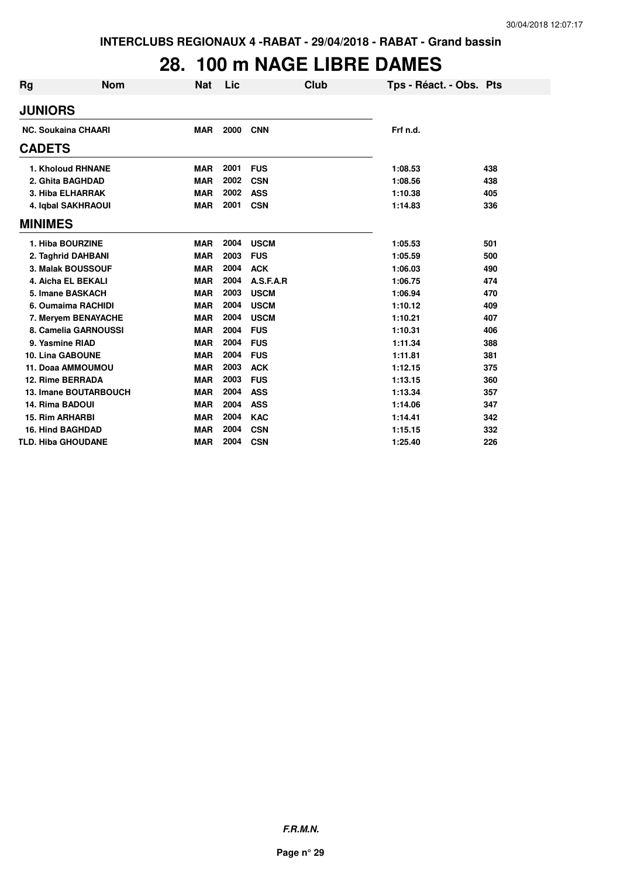# **28. 100 m NAGE LIBRE DAMES**

| <b>Rg</b> | <b>Nom</b>                   | Nat        | Lic  | Club        | Tps - Réact. - Obs. Pts |     |
|-----------|------------------------------|------------|------|-------------|-------------------------|-----|
|           | <b>JUNIORS</b>               |            |      |             |                         |     |
|           | <b>NC. Soukaina CHAARI</b>   | <b>MAR</b> | 2000 | <b>CNN</b>  | Frf n.d.                |     |
|           | <b>CADETS</b>                |            |      |             |                         |     |
|           | 1. Kholoud RHNANE            | <b>MAR</b> | 2001 | <b>FUS</b>  | 1:08.53                 | 438 |
|           | 2. Ghita BAGHDAD             | <b>MAR</b> | 2002 | <b>CSN</b>  | 1:08.56                 | 438 |
|           | 3. Hiba ELHARRAK             | <b>MAR</b> | 2002 | <b>ASS</b>  | 1:10.38                 | 405 |
|           | 4. Iqbal SAKHRAOUI           | <b>MAR</b> | 2001 | <b>CSN</b>  | 1:14.83                 | 336 |
|           | <b>MINIMES</b>               |            |      |             |                         |     |
|           | 1. Hiba BOURZINE             | <b>MAR</b> | 2004 | <b>USCM</b> | 1:05.53                 | 501 |
|           | 2. Taghrid DAHBANI           | <b>MAR</b> | 2003 | <b>FUS</b>  | 1:05.59                 | 500 |
|           | 3. Malak BOUSSOUF            | <b>MAR</b> | 2004 | <b>ACK</b>  | 1:06.03                 | 490 |
|           | 4. Aicha EL BEKALI           | <b>MAR</b> | 2004 | A.S.F.A.R   | 1:06.75                 | 474 |
|           | 5. Imane BASKACH             | <b>MAR</b> | 2003 | <b>USCM</b> | 1:06.94                 | 470 |
|           | 6. Oumaima RACHIDI           | <b>MAR</b> | 2004 | <b>USCM</b> | 1:10.12                 | 409 |
|           | 7. Meryem BENAYACHE          | <b>MAR</b> | 2004 | <b>USCM</b> | 1:10.21                 | 407 |
|           | 8. Camelia GARNOUSSI         | <b>MAR</b> | 2004 | <b>FUS</b>  | 1:10.31                 | 406 |
|           | 9. Yasmine RIAD              | <b>MAR</b> | 2004 | <b>FUS</b>  | 1:11.34                 | 388 |
|           | <b>10. Lina GABOUNE</b>      | <b>MAR</b> | 2004 | <b>FUS</b>  | 1:11.81                 | 381 |
|           | 11. Doaa AMMOUMOU            | <b>MAR</b> | 2003 | <b>ACK</b>  | 1:12.15                 | 375 |
|           | <b>12. Rime BERRADA</b>      | <b>MAR</b> | 2003 | <b>FUS</b>  | 1:13.15                 | 360 |
|           | <b>13. Imane BOUTARBOUCH</b> | <b>MAR</b> | 2004 | <b>ASS</b>  | 1:13.34                 | 357 |
|           | <b>14. Rima BADOUI</b>       | <b>MAR</b> | 2004 | <b>ASS</b>  | 1:14.06                 | 347 |
|           | <b>15. Rim ARHARBI</b>       | <b>MAR</b> | 2004 | <b>KAC</b>  | 1:14.41                 | 342 |
|           | <b>16. Hind BAGHDAD</b>      | <b>MAR</b> | 2004 | <b>CSN</b>  | 1:15.15                 | 332 |
|           | <b>TLD. Hiba GHOUDANE</b>    | <b>MAR</b> | 2004 | <b>CSN</b>  | 1:25.40                 | 226 |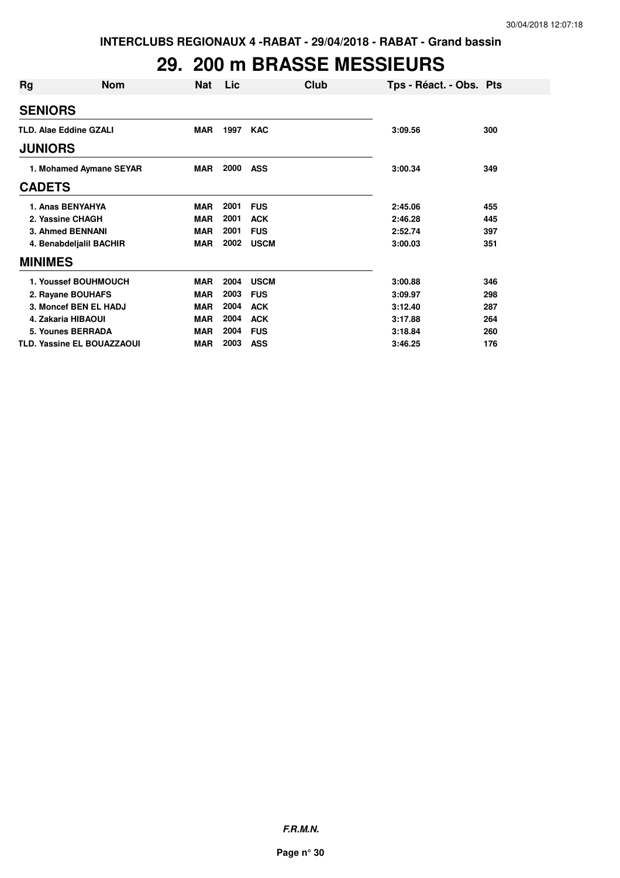### **29. 200 m BRASSE MESSIEURS**

| Rg             | <b>Nom</b>                        | <b>Nat</b> | Lic  | Club        | Tps - Réact. - Obs. Pts |     |
|----------------|-----------------------------------|------------|------|-------------|-------------------------|-----|
| <b>SENIORS</b> |                                   |            |      |             |                         |     |
|                | <b>TLD. Alae Eddine GZALI</b>     | <b>MAR</b> | 1997 | <b>KAC</b>  | 3:09.56                 | 300 |
| <b>JUNIORS</b> |                                   |            |      |             |                         |     |
|                | 1. Mohamed Aymane SEYAR           | MAR        | 2000 | <b>ASS</b>  | 3:00.34                 | 349 |
| <b>CADETS</b>  |                                   |            |      |             |                         |     |
|                | 1. Anas BENYAHYA                  | <b>MAR</b> | 2001 | <b>FUS</b>  | 2:45.06                 | 455 |
|                | 2. Yassine CHAGH                  | <b>MAR</b> | 2001 | <b>ACK</b>  | 2:46.28                 | 445 |
|                | <b>3. Ahmed BENNANI</b>           | <b>MAR</b> | 2001 | <b>FUS</b>  | 2:52.74                 | 397 |
|                | 4. Benabdeljalil BACHIR           | <b>MAR</b> | 2002 | <b>USCM</b> | 3:00.03                 | 351 |
| <b>MINIMES</b> |                                   |            |      |             |                         |     |
|                | 1. Youssef BOUHMOUCH              | <b>MAR</b> | 2004 | <b>USCM</b> | 3:00.88                 | 346 |
|                | 2. Rayane BOUHAFS                 | <b>MAR</b> | 2003 | <b>FUS</b>  | 3:09.97                 | 298 |
|                | 3. Moncef BEN EL HADJ             | <b>MAR</b> | 2004 | <b>ACK</b>  | 3:12.40                 | 287 |
|                | 4. Zakaria HIBAOUI                | <b>MAR</b> | 2004 | <b>ACK</b>  | 3:17.88                 | 264 |
|                | 5. Younes BERRADA                 | <b>MAR</b> | 2004 | <b>FUS</b>  | 3:18.84                 | 260 |
|                | <b>TLD. Yassine EL BOUAZZAOUI</b> | <b>MAR</b> | 2003 | <b>ASS</b>  | 3:46.25                 | 176 |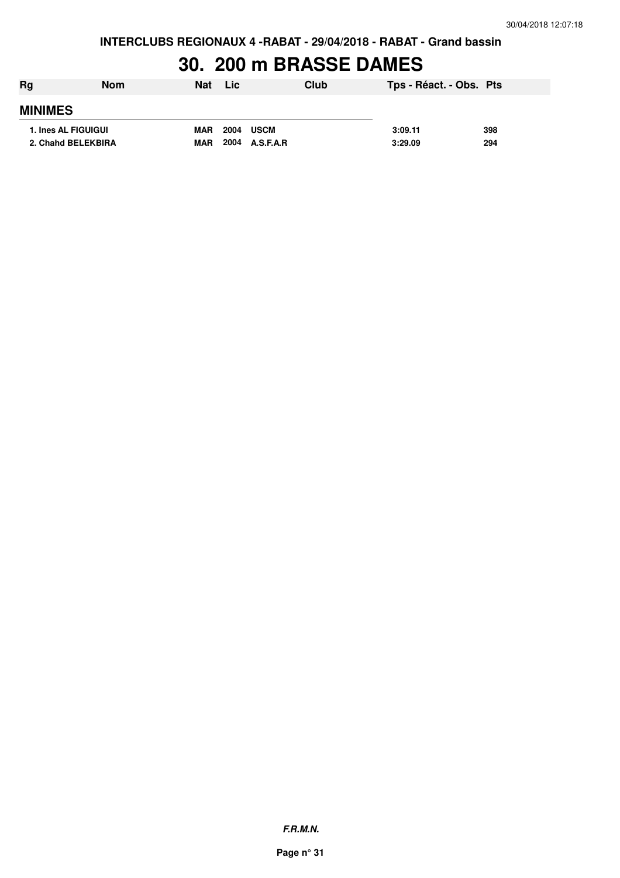**INTERCLUBS REGIONAUX 4 -RABAT - 29/04/2018 - RABAT - Grand bassin**

### **30. 200 m BRASSE DAMES**

| Rg                         | <b>Nom</b> | <b>Nat</b> | <b>Lic</b>          | Club | Tps - Réact. - Obs. Pts |     |
|----------------------------|------------|------------|---------------------|------|-------------------------|-----|
| <b>MINIMES</b>             |            |            |                     |      |                         |     |
| <b>1. Ines AL FIGUIGUI</b> |            | <b>MAR</b> | 2004<br><b>USCM</b> |      | 3:09.11                 | 398 |
| 2. Chahd BELEKBIRA         |            | <b>MAR</b> | 2004<br>A.S.F.A.R   |      | 3:29.09                 | 294 |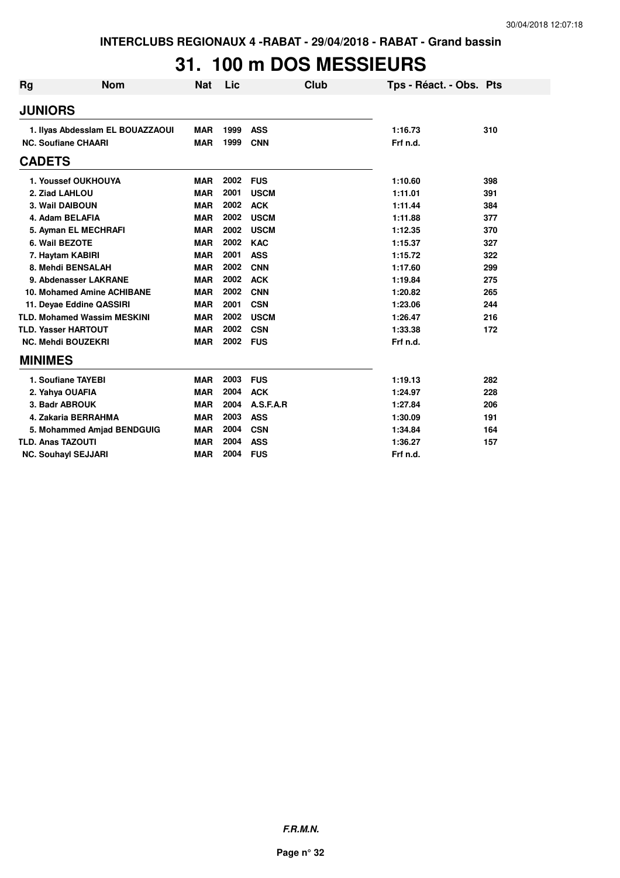# **31. 100 m DOS MESSIEURS**

| Rg | <b>Nom</b>                         | <b>Nat</b> | Lic  | Club        | Tps - Réact. - Obs. Pts |     |
|----|------------------------------------|------------|------|-------------|-------------------------|-----|
|    | <b>JUNIORS</b>                     |            |      |             |                         |     |
|    | 1. Ilyas Abdesslam EL BOUAZZAOUI   | <b>MAR</b> | 1999 | <b>ASS</b>  | 1:16.73                 | 310 |
|    | <b>NC. Soufiane CHAARI</b>         | <b>MAR</b> | 1999 | <b>CNN</b>  | Frf n.d.                |     |
|    | <b>CADETS</b>                      |            |      |             |                         |     |
|    | 1. Youssef OUKHOUYA                | <b>MAR</b> | 2002 | <b>FUS</b>  | 1:10.60                 | 398 |
|    | 2. Ziad LAHLOU                     | <b>MAR</b> | 2001 | <b>USCM</b> | 1:11.01                 | 391 |
|    | 3. Wail DAIBOUN                    | <b>MAR</b> | 2002 | <b>ACK</b>  | 1:11.44                 | 384 |
|    | 4. Adam BELAFIA                    | <b>MAR</b> | 2002 | <b>USCM</b> | 1:11.88                 | 377 |
|    | 5. Ayman EL MECHRAFI               | <b>MAR</b> | 2002 | <b>USCM</b> | 1:12.35                 | 370 |
|    | 6. Wail BEZOTE                     | <b>MAR</b> | 2002 | <b>KAC</b>  | 1:15.37                 | 327 |
|    | 7. Haytam KABIRI                   | <b>MAR</b> | 2001 | <b>ASS</b>  | 1:15.72                 | 322 |
|    | 8. Mehdi BENSALAH                  | <b>MAR</b> | 2002 | <b>CNN</b>  | 1:17.60                 | 299 |
|    | 9. Abdenasser LAKRANE              | <b>MAR</b> | 2002 | <b>ACK</b>  | 1:19.84                 | 275 |
|    | 10. Mohamed Amine ACHIBANE         | <b>MAR</b> | 2002 | <b>CNN</b>  | 1:20.82                 | 265 |
|    | 11. Deyae Eddine QASSIRI           | <b>MAR</b> | 2001 | <b>CSN</b>  | 1:23.06                 | 244 |
|    | <b>TLD. Mohamed Wassim MESKINI</b> | <b>MAR</b> | 2002 | <b>USCM</b> | 1:26.47                 | 216 |
|    | <b>TLD. Yasser HARTOUT</b>         | <b>MAR</b> | 2002 | <b>CSN</b>  | 1:33.38                 | 172 |
|    | <b>NC. Mehdi BOUZEKRI</b>          | <b>MAR</b> | 2002 | <b>FUS</b>  | Frf n.d.                |     |
|    | <b>MINIMES</b>                     |            |      |             |                         |     |
|    | 1. Soufiane TAYEBI                 | <b>MAR</b> | 2003 | <b>FUS</b>  | 1:19.13                 | 282 |
|    | 2. Yahya OUAFIA                    | <b>MAR</b> | 2004 | <b>ACK</b>  | 1:24.97                 | 228 |
|    | 3. Badr ABROUK                     | <b>MAR</b> | 2004 | A.S.F.A.R   | 1:27.84                 | 206 |
|    | 4. Zakaria BERRAHMA                | <b>MAR</b> | 2003 | <b>ASS</b>  | 1:30.09                 | 191 |
|    | 5. Mohammed Amjad BENDGUIG         | <b>MAR</b> | 2004 | <b>CSN</b>  | 1:34.84                 | 164 |
|    | <b>TLD. Anas TAZOUTI</b>           | <b>MAR</b> | 2004 | <b>ASS</b>  | 1:36.27                 | 157 |
|    | <b>NC. Souhayl SEJJARI</b>         | <b>MAR</b> | 2004 | <b>FUS</b>  | Frf n.d.                |     |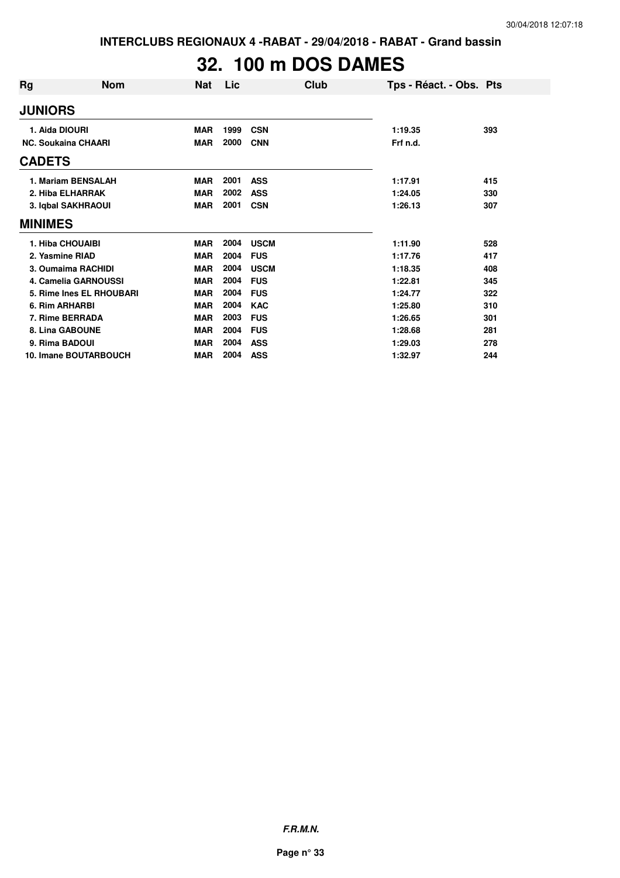**INTERCLUBS REGIONAUX 4 -RABAT - 29/04/2018 - RABAT - Grand bassin**

# **32. 100 m DOS DAMES**

| Rg             | <b>Nom</b>                 | <b>Nat</b> | Lic  | Club        | Tps - Réact. - Obs. Pts |     |
|----------------|----------------------------|------------|------|-------------|-------------------------|-----|
| <b>JUNIORS</b> |                            |            |      |             |                         |     |
|                | 1. Aida DIOURI             | <b>MAR</b> | 1999 | <b>CSN</b>  | 1:19.35                 | 393 |
|                | <b>NC. Soukaina CHAARI</b> | <b>MAR</b> | 2000 | <b>CNN</b>  | Frf n.d.                |     |
| <b>CADETS</b>  |                            |            |      |             |                         |     |
|                | 1. Mariam BENSALAH         | <b>MAR</b> | 2001 | <b>ASS</b>  | 1:17.91                 | 415 |
|                | 2. Hiba ELHARRAK           | <b>MAR</b> | 2002 | <b>ASS</b>  | 1:24.05                 | 330 |
|                | 3. Iqbal SAKHRAOUI         | <b>MAR</b> | 2001 | <b>CSN</b>  | 1:26.13                 | 307 |
| <b>MINIMES</b> |                            |            |      |             |                         |     |
|                | 1. Hiba CHOUAIBI           | <b>MAR</b> | 2004 | <b>USCM</b> | 1:11.90                 | 528 |
|                | 2. Yasmine RIAD            | <b>MAR</b> | 2004 | <b>FUS</b>  | 1:17.76                 | 417 |
|                | 3. Oumaima RACHIDI         | <b>MAR</b> | 2004 | <b>USCM</b> | 1:18.35                 | 408 |
|                | 4. Camelia GARNOUSSI       | <b>MAR</b> | 2004 | <b>FUS</b>  | 1:22.81                 | 345 |
|                | 5. Rime Ines EL RHOUBARI   | <b>MAR</b> | 2004 | <b>FUS</b>  | 1:24.77                 | 322 |
|                | 6. Rim ARHARBI             | <b>MAR</b> | 2004 | <b>KAC</b>  | 1:25.80                 | 310 |
|                | 7. Rime BERRADA            | <b>MAR</b> | 2003 | <b>FUS</b>  | 1:26.65                 | 301 |
|                | 8. Lina GABOUNE            | <b>MAR</b> | 2004 | <b>FUS</b>  | 1:28.68                 | 281 |
|                | 9. Rima BADOUI             | <b>MAR</b> | 2004 | <b>ASS</b>  | 1:29.03                 | 278 |
|                | 10. Imane BOUTARBOUCH      | <b>MAR</b> | 2004 | <b>ASS</b>  | 1:32.97                 | 244 |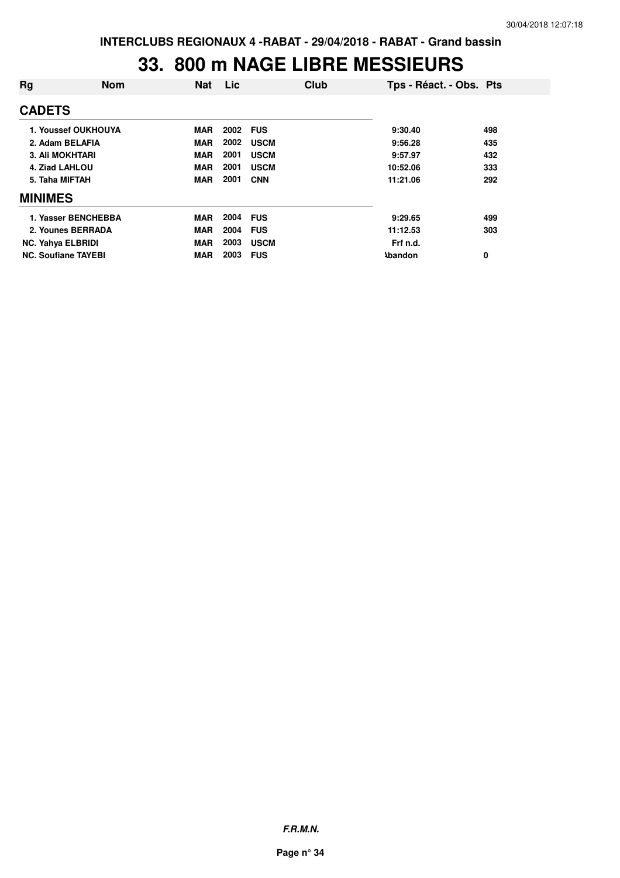#### **33. 800 m NAGE LIBRE MESSIEURS**

| Rg             | <b>Nom</b>                 | <b>Nat</b> | Lic  | Club        | Tps - Réact. - Obs. Pts |     |
|----------------|----------------------------|------------|------|-------------|-------------------------|-----|
| <b>CADETS</b>  |                            |            |      |             |                         |     |
|                | 1. Youssef OUKHOUYA        | <b>MAR</b> | 2002 | <b>FUS</b>  | 9:30.40                 | 498 |
|                | 2. Adam BELAFIA            | <b>MAR</b> | 2002 | <b>USCM</b> | 9:56.28                 | 435 |
|                | <b>3. Ali MOKHTARI</b>     | <b>MAR</b> | 2001 | <b>USCM</b> | 9:57.97                 | 432 |
|                | 4. Ziad LAHLOU             | <b>MAR</b> | 2001 | <b>USCM</b> | 10:52.06                | 333 |
|                | 5. Taha MIFTAH             | <b>MAR</b> | 2001 | <b>CNN</b>  | 11:21.06                | 292 |
| <b>MINIMES</b> |                            |            |      |             |                         |     |
|                | 1. Yasser BENCHEBBA        | MAR        | 2004 | <b>FUS</b>  | 9:29.65                 | 499 |
|                | 2. Younes BERRADA          | <b>MAR</b> | 2004 | <b>FUS</b>  | 11:12.53                | 303 |
|                | <b>NC. Yahya ELBRIDI</b>   | <b>MAR</b> | 2003 | <b>USCM</b> | Frf n.d.                |     |
|                | <b>NC. Soufiane TAYEBI</b> | <b>MAR</b> | 2003 | <b>FUS</b>  | <b>\bandon</b>          | 0   |